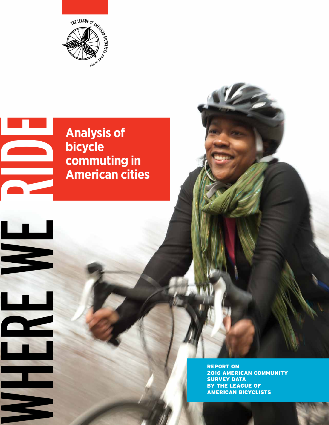

WHERE WE

RIDE

#### **Analysis of bicycle commuting in American cities**

REPORT ON 2016 AMERICAN COMMUNITY SURVEY DATA BY THE LEAGUE OF AMERICAN BICYCLISTS

**LEAGUE OF AMERICAN BICYCLISTS 2016 AMERICAN COMMUNITY SURVEY DATA REPORT**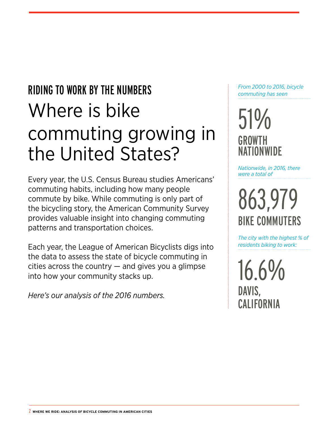## RIDING TO WORK BY THE NUMBERS Where is bike commuting growing in the United States?

Every year, the U.S. Census Bureau studies Americans' commuting habits, including how many people commute by bike. While commuting is only part of the bicycling story, the American Community Survey provides valuable insight into changing commuting patterns and transportation choices.

Each year, the League of American Bicyclists digs into the data to assess the state of bicycle commuting in cities across the country  $-$  and gives you a glimpse into how your community stacks up.

*Here's our analysis of the 2016 numbers.*

*From 2000 to 2016, bicycle commuting has seen*

51% **GROWTH** NATIONWIDE

*Nationwide, in 2016, there were a total of* 

863,979 BIKE COMMUTERS

*The city with the highest % of residents biking to work:*

16.6% DAVIS. CALIFORNIA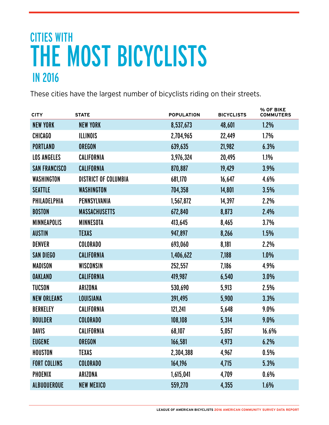## CITIES WITH THE MOST BICYCLISTS IN 2016

These cities have the largest number of bicyclists riding on their streets.

| <b>CITY</b>          | <b>STATE</b>                | <b>POPULATION</b> | <b>BICYCLISTS</b> | % OF BIKE<br><b>COMMUTERS</b> |
|----------------------|-----------------------------|-------------------|-------------------|-------------------------------|
| <b>NEW YORK</b>      | <b>NEW YORK</b>             | 8,537,673         | 48,601            | 1.2%                          |
| <b>CHICAGO</b>       | <b>ILLINOIS</b>             | 2,704,965         | 22,449            | 1.7%                          |
| <b>PORTLAND</b>      | <b>OREGON</b>               | 639,635           | 21,982            | 6.3%                          |
| <b>LOS ANGELES</b>   | CALIFORNIA                  | 3,976,324         | 20,495            | 1.1%                          |
| <b>SAN FRANCISCO</b> | <b>CALIFORNIA</b>           | 870,887           | 19,429            | 3.9%                          |
| WASHINGTON           | <b>DISTRICT OF COLUMBIA</b> | 681,170           | 16,647            | 4.6%                          |
| <b>SEATTLE</b>       | WASHINGTON                  | 704,358           | 14,801            | 3.5%                          |
| PHILADELPHIA         | PENNSYLVANIA                | 1,567,872         | 14,397            | 2.2%                          |
| <b>BOSTON</b>        | <b>MASSACHUSETTS</b>        | 672,840           | 8,873             | 2.4%                          |
| <b>MINNEAPOLIS</b>   | <b>MINNESOTA</b>            | 413,645           | 8,465             | 3.7%                          |
| <b>AUSTIN</b>        | <b>TEXAS</b>                | 947,897           | 8,266             | 1.5%                          |
| <b>DENVER</b>        | <b>COLORADO</b>             | 693,060           | 8,181             | 2.2%                          |
| <b>SAN DIEGO</b>     | <b>CALIFORNIA</b>           | 1,406,622         | 7,188             | 1.0%                          |
| <b>MADISON</b>       | <b>WISCONSIN</b>            | 252,557           | 7,186             | 4.9%                          |
| <b>OAKLAND</b>       | <b>CALIFORNIA</b>           | 419,987           | 6,540             | 3.0%                          |
| <b>TUCSON</b>        | ARIZONA                     | 530,690           | 5,913             | 2.5%                          |
| <b>NEW ORLEANS</b>   | LOUISIANA                   | 391,495           | 5,900             | 3.3%                          |
| <b>BERKELEY</b>      | <b>CALIFORNIA</b>           | 121,241           | 5,648             | 9.0%                          |
| <b>BOULDER</b>       | <b>COLORADO</b>             | 108,108           | 5,314             | 9.0%                          |
| DAVIS                | <b>CALIFORNIA</b>           | 68,107            | 5,057             | 16.6%                         |
| <b>EUGENE</b>        | <b>OREGON</b>               | 166,581           | 4,973             | 6.2%                          |
| <b>HOUSTON</b>       | <b>TEXAS</b>                | 2,304,388         | 4,967             | 0.5%                          |
| <b>FORT COLLINS</b>  | <b>COLORADO</b>             | 164,196           | 4,715             | 5.3%                          |
| PHOENIX              | ARIZONA                     | 1,615,041         | 4,709             | $0.6\%$                       |
| <b>ALBUQUERQUE</b>   | <b>NEW MEXICO</b>           | 559,270           | 4,355             | 1.6%                          |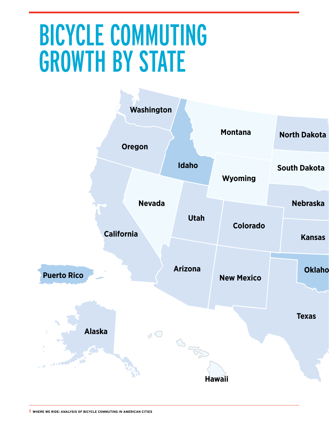# BICYCLE COMMUTING GROWTH BY STATE

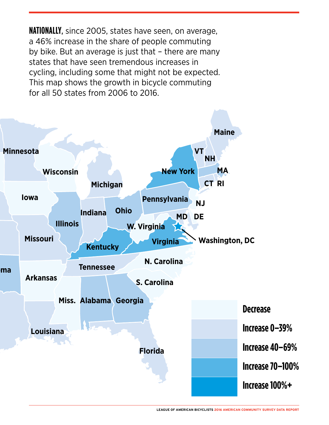**NATIONALLY,** since 2005, states have seen, on average, a 46% increase in the share of people commuting by bike. But an average is just that – there are many states that have seen tremendous increases in cycling, including some that might not be expected. This map shows the growth in bicycle commuting for all 50 states from 2006 to 2016.

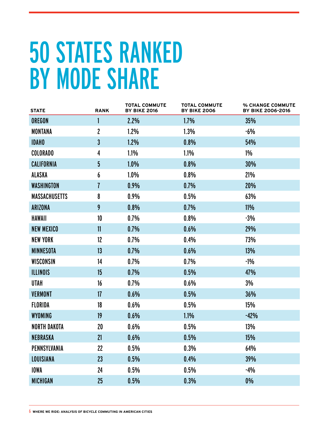# 50 STATES RANKED BY MODE SHARE

| <b>STATE</b>         | <b>RANK</b>     | <b>TOTAL COMMUTE</b><br><b>BY BIKE 2016</b> | <b>TOTAL COMMUTE</b><br><b>BY BIKE 2006</b> | <b>% CHANGE COMMUTE</b><br><b>BY BIKE 2006-2016</b> |
|----------------------|-----------------|---------------------------------------------|---------------------------------------------|-----------------------------------------------------|
| <b>OREGON</b>        | 1               | 2.2%                                        | 1.7%                                        | 35%                                                 |
| <b>MONTANA</b>       | $\overline{c}$  | 1.2%                                        | 1.3%                                        | -6%                                                 |
| <b>IDAHO</b>         | $\overline{3}$  | 1.2%                                        | 0.8%                                        | 54%                                                 |
| <b>COLORADO</b>      | 4               | 1.1%                                        | 1.1%                                        | $1\%$                                               |
| <b>CALIFORNIA</b>    | $5\phantom{.0}$ | $1.0\%$                                     | 0.8%                                        | 30%                                                 |
| ALASKA               | 6               | 1.0%                                        | 0.8%                                        | 21%                                                 |
| WASHINGTON           | 7               | 0.9%                                        | 0.7%                                        | 20%                                                 |
| <b>MASSACHUSETTS</b> | 8               | 0.9%                                        | 0.5%                                        | 63%                                                 |
| <b>ARIZONA</b>       | 9               | 0.8%                                        | 0.7%                                        | <b>11%</b>                                          |
| <b>HAWAII</b>        | 10              | 0.7%                                        | 0.8%                                        | $-3%$                                               |
| <b>NEW MEXICO</b>    | 11              | 0.7%                                        | 0.6%                                        | 29%                                                 |
| <b>NEW YORK</b>      | 12 <sup>°</sup> | 0.7%                                        | 0.4%                                        | 73%                                                 |
| <b>MINNESOTA</b>     | 13              | 0.7%                                        | 0.6%                                        | 13%                                                 |
| WISCONSIN            | 14              | 0.7%                                        | 0.7%                                        | $-1\%$                                              |
| <b>ILLINOIS</b>      | 15              | 0.7%                                        | 0.5%                                        | 47%                                                 |
| <b>UTAH</b>          | 16              | 0.7%                                        | 0.6%                                        | 3%                                                  |
| <b>VERMONT</b>       | 17              | 0.6%                                        | 0.5%                                        | 36%                                                 |
| <b>FLORIDA</b>       | 18              | 0.6%                                        | 0.5%                                        | 15%                                                 |
| <b>WYOMING</b>       | 19              | 0.6%                                        | 1.1%                                        | $-42%$                                              |
| <b>NORTH DAKOTA</b>  | 20              | 0.6%                                        | 0.5%                                        | 13%                                                 |
| NEBRASKA             | 21              | 0.6%                                        | 0.5%                                        | 15%                                                 |
| PENNSYLVANIA         | 22              | 0.5%                                        | 0.3%                                        | 64%                                                 |
| <b>LOUISIANA</b>     | 23              | 0.5%                                        | 0.4%                                        | 39%                                                 |
| <b>IOWA</b>          | 24              | 0.5%                                        | 0.5%                                        | $-4%$                                               |
| <b>MICHIGAN</b>      | 25              | 0.5%                                        | 0.3%                                        | 0%                                                  |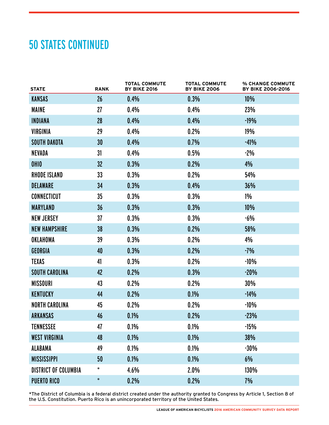#### 50 STATES CONTINUED

| <b>STATE</b>                | <b>RANK</b> | <b>TOTAL COMMUTE</b><br><b>BY BIKE 2016</b> | <b>TOTAL COMMUTE</b><br><b>BY BIKE 2006</b> | <b>% CHANGE COMMUTE</b><br><b>BY BIKE 2006-2016</b> |
|-----------------------------|-------------|---------------------------------------------|---------------------------------------------|-----------------------------------------------------|
| KANSAS                      | 26          | 0.4%                                        | 0.3%                                        | 10%                                                 |
| <b>MAINE</b>                | 27          | 0.4%                                        | 0.4%                                        | 23%                                                 |
| <b>INDIANA</b>              | 28          | 0.4%                                        | 0.4%                                        | $-19%$                                              |
| <b>VIRGINIA</b>             | 29          | 0.4%                                        | 0.2%                                        | 19%                                                 |
| <b>SOUTH DAKOTA</b>         | 30          | 0.4%                                        | 0.7%                                        | $-41%$                                              |
| <b>NEVADA</b>               | 31          | 0.4%                                        | 0.5%                                        | $-2\%$                                              |
| <b>OHIO</b>                 | 32          | 0.3%                                        | 0.2%                                        | 4%                                                  |
| RHODE ISLAND                | 33          | 0.3%                                        | 0.2%                                        | 54%                                                 |
| <b>DELAWARE</b>             | 34          | 0.3%                                        | 0.4%                                        | 36%                                                 |
| <b>CONNECTICUT</b>          | 35          | 0.3%                                        | 0.3%                                        | $1\%$                                               |
| <b>MARYLAND</b>             | 36          | 0.3%                                        | 0.3%                                        | 10%                                                 |
| <b>NEW JERSEY</b>           | 37          | 0.3%                                        | 0.3%                                        | -6%                                                 |
| <b>NEW HAMPSHIRE</b>        | 38          | 0.3%                                        | 0.2%                                        | 58%                                                 |
| <b>OKLAHOMA</b>             | 39          | 0.3%                                        | 0.2%                                        | 4%                                                  |
| GEORGIA                     | 40          | 0.3%                                        | 0.2%                                        | $-7%$                                               |
| <b>TEXAS</b>                | 41          | 0.3%                                        | 0.2%                                        | $-10%$                                              |
| <b>SOUTH CAROLINA</b>       | 42          | 0.2%                                        | 0.3%                                        | $-20%$                                              |
| <b>MISSOURI</b>             | 43          | 0.2%                                        | 0.2%                                        | 30%                                                 |
| <b>KENTUCKY</b>             | 44          | 0.2%                                        | 0.1%                                        | $-14%$                                              |
| <b>NORTH CAROLINA</b>       | 45          | 0.2%                                        | 0.2%                                        | -10%                                                |
| <b>ARKANSAS</b>             | 46          | 0.1%                                        | 0.2%                                        | $-23%$                                              |
| <b>TENNESSEE</b>            | 47          | $0.1\%$                                     | 0.1%                                        | $-15%$                                              |
| <b>WEST VIRGINIA</b>        | 48          | 0.1%                                        | 0.1%                                        | 38%                                                 |
| ALABAMA                     | 49          | 0.1%                                        | 0.1%                                        | $-30%$                                              |
| <b>MISSISSIPPI</b>          | 50          | 0.1%                                        | 0.1%                                        | 6%                                                  |
| <b>DISTRICT OF COLUMBIA</b> | $\ast$      | 4.6%                                        | 2.0%                                        | 130%                                                |
| <b>PUERTO RICO</b>          | $\ast$      | 0.2%                                        | 0.2%                                        | 7%                                                  |

\*The District of Columbia is a federal district created under the authority granted to Congress by Article 1, Section 8 of the U.S. Constitution. Puerto Rico is an unincorporated territory of the United States.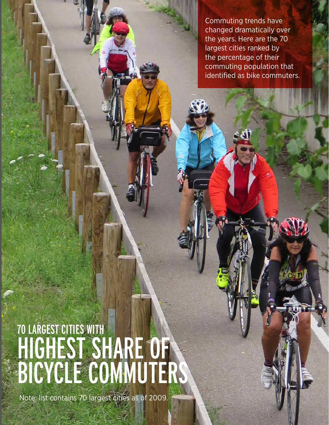Commuting trends have changed dramatically over the years. Here are the 70 largest cities ranked by the percentage of their commuting population that identified as bike commuters.

## 70 LARGEST CITIES WITH HIGHEST SHARE OF BICYCLE COMMUTERS

Note: list contains 70 largest cities as of 2009.

8 **WHERE WE RIDE: ANALYSIS OF BICYCLE COMMUTING IN AMERICAN CITIES**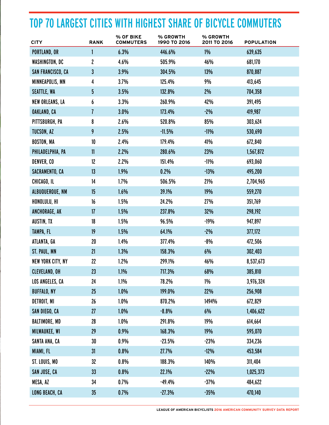### TOP 70 LARGEST CITIES WITH HIGHEST SHARE OF BICYCLE COMMUTERS

| <b>CITY</b>              | <b>RANK</b>    | % OF BIKE<br><b>COMMUTERS</b> | % GROWTH<br>1990 TO 2016 | % GROWTH<br>2011 TO 2016 | <b>POPULATION</b> |
|--------------------------|----------------|-------------------------------|--------------------------|--------------------------|-------------------|
| <b>PORTLAND, OR</b>      | 1              | 6.3%                          | 446.6%                   | $1\%$                    | 639,635           |
| WASHINGTON, DC           | $\overline{c}$ | 4.6%                          | 505.9%                   | 46%                      | 681,170           |
| SAN FRANCISCO, CA        | 3              | 3.9%                          | 304.5%                   | 13%                      | 870,887           |
| MINNEAPOLIS, MN          | 4              | 3.7%                          | 125.4%                   | 9%                       | 413,645           |
| <b>SEATTLE, WA</b>       | 5              | 3.5%                          | 132.8%                   | 2%                       | 704,358           |
| <b>NEW ORLEANS, LA</b>   | 6              | 3.3%                          | 260.9%                   | 42%                      | 391,495           |
| OAKLAND, CA              | 7              | 3.0%                          | 173.4%                   | $-2%$                    | 419,987           |
| PITTSBURGH, PA           | 8              | 2.6%                          | 520.8%                   | 85%                      | 303,624           |
| TUCSON, AZ               | 9              | 2.5%                          | $-11.5%$                 | $-11%$                   | 530,690           |
| <b>BOSTON, MA</b>        | $10\,$         | 2.4%                          | 179.4%                   | 41%                      | 672,840           |
| PHILADELPHIA, PA         | 11             | 2.2%                          | 280.6%                   | 23%                      | 1,567,872         |
| <b>DENVER, CO</b>        | 12             | 2.2%                          | 151.4%                   | $-11%$                   | 693,060           |
| SACRAMENTO, CA           | 13             | 1.9%                          | 0.2%                     | $-13%$                   | 495,200           |
| CHICAGO, IL              | 14             | 1.7%                          | 506.5%                   | 21%                      | 2,704,965         |
| ALBUQUERQUE, NM          | 15             | 1.6%                          | 39.1%                    | 19%                      | 559,270           |
| HONOLULU, HI             | 16             | 1.5%                          | 24.2%                    | 27%                      | 351,769           |
| ANCHORAGE, AK            | 17             | 1.5%                          | 237.8%                   | 32%                      | 298,192           |
| AUSTIN, TX               | 18             | 1.5%                          | 96.5%                    | $-19%$                   | 947,897           |
| TAMPA, FL                | 19             | 1.5%                          | 64.1%                    | $-2%$                    | 377,172           |
| ATLANTA, GA              | 20             | 1.4%                          | 377.4%                   | -8%                      | 472,506           |
| ST. PAUL, MN             | 21             | 1.3%                          | 158.3%                   | 6%                       | 302,403           |
| <b>NEW YORK CITY, NY</b> | 22             | 1.2%                          | 299.1%                   | 46%                      | 8,537,673         |
| <b>CLEVELAND, OH</b>     | 23             | 1.1%                          | 717.3%                   | 68%                      | 385,810           |
| LOS ANGELES, CA          | 24             | 1.1%                          | 78.2%                    | 1%                       | 3,976,324         |
| <b>BUFFALO, NY</b>       | 25             | 1.0%                          | 199.0%                   | 22%                      | 256,908           |
| DETROIT, MI              | 26             | 1.0%                          | 870.2%                   | 1494%                    | 672,829           |
| SAN DIEGO, CA            | 27             | 1.0%                          | $-8.8%$                  | 6%                       | 1,406,622         |
| BALTIMORE, MD            | 28             | 1.0%                          | 291.8%                   | 19%                      | 614,664           |
| MILWAUKEE, WI            | 29             | 0.9%                          | 168.3%                   | 19%                      | 595,070           |
| SANTA ANA, CA            | 30             | 0.9%                          | $-23.5%$                 | $-23%$                   | 334,236           |
| MIAMI, FL                | 31             | 0.8%                          | 27.7%                    | $-12%$                   | 453,584           |
| ST. LOUIS, MO            | 32             | 0.8%                          | 188.3%                   | 140%                     | 311,404           |
| SAN JOSE, CA             | 33             | 0.8%                          | 22.1%                    | $-22%$                   | 1,025,373         |
| MESA, AZ                 | 34             | 0.7%                          | $-49.4%$                 | $-37%$                   | 484,622           |
| LONG BEACH, CA           | 35             | 0.7%                          | $-27.3%$                 | $-35%$                   | 470,140           |

**LEAGUE OF AMERICAN BICYCLISTS 2016 AMERICAN COMMUNITY SURVEY DATA REPORT**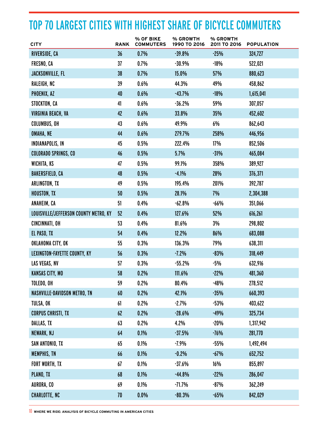#### TOP 70 LARGEST CITIES WITH HIGHEST SHARE OF BICYCLE COMMUTERS

| <b>CITY</b>                           | <b>RANK</b> | % OF BIKE<br><b>COMMUTERS</b> | % GROWTH<br>1990 TO 2016 | % GROWTH<br>2011 TO 2016 | <b>POPULATION</b> |
|---------------------------------------|-------------|-------------------------------|--------------------------|--------------------------|-------------------|
| RIVERSIDE, CA                         | 36          | 0.7%                          | $-39.8%$                 | $-25%$                   | 324,727           |
| FRESNO, CA                            | 37          | 0.7%                          | $-30.9%$                 | $-18%$                   | 522,021           |
| <b>JACKSONVILLE, FL</b>               | 38          | 0.7%                          | 15.0%                    | 57%                      | 880,623           |
| RALEIGH, NC                           | 39          | 0.6%                          | 44.3%                    | 49%                      | 458,862           |
| PHOENIX, AZ                           | 40          | 0.6%                          | $-43.7%$                 | $-18%$                   | 1,615,041         |
| STOCKTON, CA                          | 41          | 0.6%                          | $-36.2%$                 | 59%                      | 307,057           |
| VIRGINIA BEACH, VA                    | 42          | 0.6%                          | 33.8%                    | 35%                      | 452,602           |
| COLUMBUS, OH                          | 43          | 0.6%                          | 49.9%                    | 6%                       | 862,643           |
| OMAHA, NE                             | 44          | 0.6%                          | 279.7%                   | 258%                     | 446,956           |
| INDIANAPOLIS, IN                      | 45          | 0.5%                          | 222.4%                   | 17%                      | 852,506           |
| <b>COLORADO SPRINGS, CO</b>           | 46          | 0.5%                          | 5.7%                     | $-31%$                   | 465,084           |
| WICHITA, KS                           | 47          | 0.5%                          | 99.1%                    | 358%                     | 389,927           |
| <b>BAKERSFIELD, CA</b>                | 48          | 0.5%                          | $-4.1%$                  | 28%                      | 376,371           |
| <b>ARLINGTON, TX</b>                  | 49          | 0.5%                          | 195.4%                   | 201%                     | 392,787           |
| <b>HOUSTON, TX</b>                    | 50          | 0.5%                          | 28.1%                    | 7%                       | 2,304,388         |
| ANAHEIM, CA                           | 51          | 0.4%                          | $-62.8%$                 | -66%                     | 351,066           |
| LOUISVILLE/JEFFERSON COUNTY METRO, KY | 52          | 0.4%                          | 127.6%                   | 52%                      | 616,261           |
| CINCINNATI, OH                        | 53          | 0.4%                          | 81.6%                    | 3%                       | 298,802           |
| EL PASO, TX                           | 54          | 0.4%                          | 12.2%                    | 86%                      | 683,088           |
| OKLAHOMA CITY, OK                     | 55          | 0.3%                          | 136.3%                   | 79%                      | 638,311           |
| LEXINGTON-FAYETTE COUNTY, KY          | 56          | 0.3%                          | $-7.2%$                  | $-83%$                   | 318,449           |
| LAS VEGAS, NV                         | 57          | 0.3%                          | $-55.2%$                 | -5%                      | 632,916           |
| <b>KANSAS CITY, MO</b>                | 58          | 0.2%                          | 111.6%                   | $-22%$                   | 481,360           |
| TOLEDO, OH                            | 59          | 0.2%                          | 80.4%                    | $-48%$                   | 278,512           |
| NASHVILLE-DAVIDSON METRO, TN          | 60          | 0.2%                          | 42.1%                    | $-35%$                   | 660,393           |
| TULSA, OK                             | 61          | 0.2%                          | $-2.7%$                  | $-53%$                   | 403,622           |
| <b>CORPUS CHRISTI, TX</b>             | 62          | 0.2%                          | $-28.6%$                 | $-49%$                   | 325,734           |
| DALLAS, TX                            | 63          | 0.2%                          | 4.2%                     | $-20%$                   | 1,317,942         |
| <b>NEWARK, NJ</b>                     | 64          | 0.1%                          | $-37.5%$                 | $-76%$                   | 281,770           |
| SAN ANTONIO, TX                       | 65          | 0.1%                          | $-7.9%$                  | $-55%$                   | 1,492,494         |
| <b>MEMPHIS, TN</b>                    | 66          | 0.1%                          | $-0.2%$                  | $-67%$                   | 652,752           |
| <b>FORT WORTH, TX</b>                 | 67          | 0.1%                          | $-37.6%$                 | 16%                      | 855,897           |
| PLANO, TX                             | 68          | 0.1%                          | $-44.8%$                 | $-22%$                   | 286,047           |
| AURORA, CO                            | 69          | 0.1%                          | $-71.7%$                 | $-87%$                   | 362,249           |
| CHARLOTTE, NC                         | 70          | 0.0%                          | $-80.3%$                 | $-65%$                   | 842,029           |

10 **WHERE WE RIDE: ANALYSIS OF BICYCLE COMMUTING IN AMERICAN CITIES**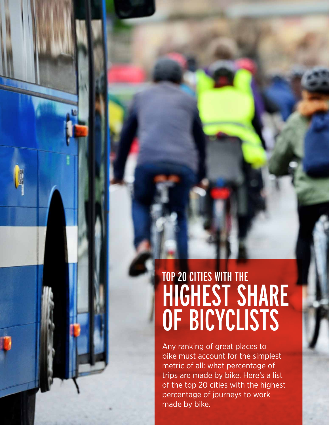## TOP 20 CITIES WITH THE HIGHEST SHARE OF BICYCLISTS

Any ranking of great places to bike must account for the simplest metric of all: what percentage of trips are made by bike. Here's a list of the top 20 cities with the highest percentage of journeys to work made by bike.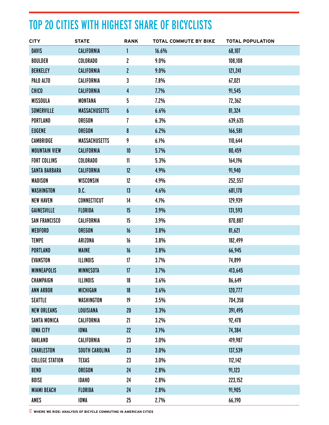#### TOP 20 CITIES WITH HIGHEST SHARE OF BICYCLISTS

| <b>CITY</b>            | <b>STATE</b>          | <b>RANK</b>    | <b>TOTAL COMMUTE BY BIKE</b> | <b>TOTAL POPULATION</b> |
|------------------------|-----------------------|----------------|------------------------------|-------------------------|
| <b>DAVIS</b>           | CALIFORNIA            | 1              | 16.6%                        | 68,107                  |
| <b>BOULDER</b>         | <b>COLORADO</b>       | 2              | 9.0%                         | 108,108                 |
| <b>BERKELEY</b>        | <b>CALIFORNIA</b>     | $\overline{c}$ | 9.0%                         | 121,241                 |
| PALO ALTO              | CALIFORNIA            | 3              | 7.8%                         | 67,021                  |
| <b>CHICO</b>           | <b>CALIFORNIA</b>     | 4              | 7.7%                         | 91,545                  |
| <b>MISSOULA</b>        | <b>MONTANA</b>        | 5              | 7.2%                         | 72,362                  |
| <b>SOMERVILLE</b>      | <b>MASSACHUSETTS</b>  | 6              | 6.6%                         | 81,324                  |
| <b>PORTLAND</b>        | <b>OREGON</b>         | 7              | 6.3%                         | 639,635                 |
| <b>EUGENE</b>          | <b>OREGON</b>         | 8              | 6.2%                         | 166,581                 |
| CAMBRIDGE              | <b>MASSACHUSETTS</b>  | 9              | 6.1%                         | 110,644                 |
| <b>MOUNTAIN VIEW</b>   | <b>CALIFORNIA</b>     | 10             | 5.7%                         | 80,459                  |
| <b>FORT COLLINS</b>    | <b>COLORADO</b>       | 11             | 5.3%                         | 164,196                 |
| <b>SANTA BARBARA</b>   | CALIFORNIA            | 12             | 4.9%                         | 91,940                  |
| <b>MADISON</b>         | WISCONSIN             | 12             | 4.9%                         | 252,557                 |
| WASHINGTON             | D.C.                  | 13             | 4.6%                         | 681,170                 |
| <b>NEW HAVEN</b>       | <b>CONNECTICUT</b>    | 14             | 4.1%                         | 129,939                 |
| <b>GAINESVILLE</b>     | <b>FLORIDA</b>        | 15             | 3.9%                         | 131,593                 |
| <b>SAN FRANCISCO</b>   | CALIFORNIA            | 15             | 3.9%                         | 870,887                 |
| <b>MEDFORD</b>         | <b>OREGON</b>         | 16             | 3.8%                         | 81,621                  |
| <b>TEMPE</b>           | ARIZONA               | 16             | 3.8%                         | 182,499                 |
| <b>PORTLAND</b>        | <b>MAINE</b>          | 16             | 3.8%                         | 66,945                  |
| <b>EVANSTON</b>        | <b>ILLINOIS</b>       | 17             | 3.7%                         | 74,899                  |
| <b>MINNEAPOLIS</b>     | <b>MINNESOTA</b>      | 17             | 3.7%                         | 413,645                 |
| CHAMPAIGN              | <b>ILLINOIS</b>       | 18             | 3.6%                         | 86,649                  |
| <b>ANN ARBOR</b>       | <b>MICHIGAN</b>       | 18             | 3.6%                         | 120,777                 |
| <b>SEATTLE</b>         | WASHINGTON            | 19             | 3.5%                         | 704,358                 |
| <b>NEW ORLEANS</b>     | LOUISIANA             | 20             | 3.3%                         | 391,495                 |
| SANTA MONICA           | CALIFORNIA            | 21             | 3.2%                         | 92,478                  |
| <b>IOWA CITY</b>       | <b>IOWA</b>           | 22             | 3.1%                         | 74,384                  |
| OAKLAND                | CALIFORNIA            | 23             | 3.0%                         | 419,987                 |
| <b>CHARLESTON</b>      | <b>SOUTH CAROLINA</b> | 23             | 3.0%                         | 137,539                 |
| <b>COLLEGE STATION</b> | <b>TEXAS</b>          | 23             | 3.0%                         | 112,142                 |
| <b>BEND</b>            | <b>OREGON</b>         | 24             | 2.8%                         | 91,123                  |
| BOISE                  | <b>IDAHO</b>          | 24             | 2.8%                         | 223,152                 |
| <b>MIAMI BEACH</b>     | <b>FLORIDA</b>        | 24             | 2.8%                         | 91,905                  |
| AMES                   | <b>IOWA</b>           | $25\,$         | 2.7%                         | 66,190                  |

12 **WHERE WE RIDE: ANALYSIS OF BICYCLE COMMUTING IN AMERICAN CITIES**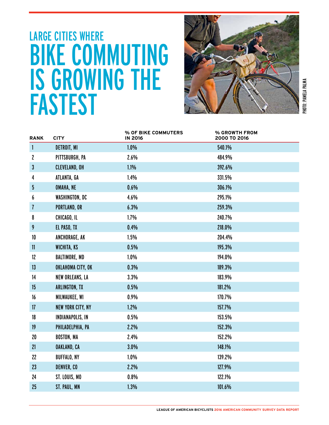## LARGE CITIES WHERE BIKE COMMUTING IS GROWING THE FASTEST



| <b>RANK</b>    | <b>CITY</b>              | % OF BIKE COMMUTERS<br><b>IN 2016</b> | % GROWTH FROM<br>2000 TO 2016 |
|----------------|--------------------------|---------------------------------------|-------------------------------|
| $\mathbf{1}$   | DETROIT, MI              | 1.0%                                  | 540.1%                        |
| $\mathbf{2}$   | PITTSBURGH, PA           | 2.6%                                  | 484.9%                        |
| 3              | <b>CLEVELAND, OH</b>     | 1.1%                                  | 392.6%                        |
| 4              | ATLANTA, GA              | 1.4%                                  | 331.5%                        |
| 5              | OMAHA, NE                | 0.6%                                  | 306.1%                        |
| 6              | WASHINGTON, DC           | 4.6%                                  | 295.1%                        |
| $\overline{1}$ | <b>PORTLAND, OR</b>      | 6.3%                                  | 259.3%                        |
| 8              | CHICAGO, IL              | 1.7%                                  | 240.7%                        |
| 9              | EL PASO, TX              | 0.4%                                  | 218.0%                        |
| 10             | ANCHORAGE, AK            | 1.5%                                  | 204.4%                        |
| 11             | WICHITA, KS              | 0.5%                                  | 195.3%                        |
| 12             | <b>BALTIMORE, MD</b>     | 1.0%                                  | 194.0%                        |
| 13             | OKLAHOMA CITY, OK        | 0.3%                                  | 189.3%                        |
| 14             | <b>NEW ORLEANS, LA</b>   | 3.3%                                  | 183.9%                        |
| 15             | ARLINGTON, TX            | 0.5%                                  | 181.2%                        |
| 16             | MILWAUKEE, WI            | 0.9%                                  | 170.7%                        |
| 17             | <b>NEW YORK CITY, NY</b> | 1.2%                                  | 157.7%                        |
| 18             | INDIANAPOLIS, IN         | 0.5%                                  | 153.5%                        |
| 19             | PHILADELPHIA, PA         | 2.2%                                  | 152.3%                        |
| 20             | <b>BOSTON, MA</b>        | 2.4%                                  | 152.2%                        |
| 21             | OAKLAND, CA              | 3.0%                                  | 148.1%                        |
| 22             | <b>BUFFALO, NY</b>       | 1.0%                                  | 139.2%                        |
| 23             | DENVER, CO               | 2.2%                                  | 127.9%                        |
| 24             | ST. LOUIS, MO            | 0.8%                                  | 122.1%                        |
| 25             | ST. PAUL, MN             | 1.3%                                  | 101.6%                        |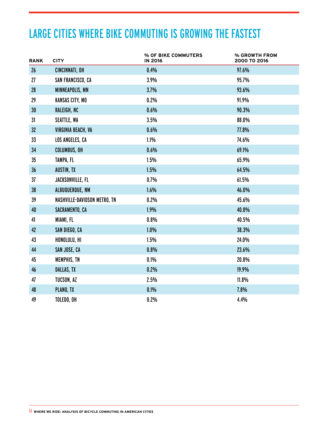#### LARGE CITIES WHERE BIKE COMMUTING IS GROWING THE FASTEST

| <b>RANK</b> | <b>CITY</b>                  | % OF BIKE COMMUTERS<br><b>IN 2016</b> | % GROWTH FROM<br>2000 TO 2016 |
|-------------|------------------------------|---------------------------------------|-------------------------------|
| 26          | CINCINNATI, OH               | 0.4%                                  | 97.6%                         |
| 27          | SAN FRANCISCO, CA            | 3.9%                                  | 95.7%                         |
| 28          | MINNEAPOLIS, MN              | 3.7%                                  | 93.6%                         |
| 29          | <b>KANSAS CITY, MO</b>       | 0.2%                                  | 91.9%                         |
| 30          | RALEIGH, NC                  | 0.6%                                  | 90.3%                         |
| 31          | <b>SEATTLE, WA</b>           | 3.5%                                  | 88.0%                         |
| 32          | VIRGINIA BEACH, VA           | 0.6%                                  | 77.8%                         |
| 33          | LOS ANGELES, CA              | 1.1%                                  | 74.6%                         |
| 34          | <b>COLUMBUS, OH</b>          | 0.6%                                  | 69.1%                         |
| 35          | TAMPA, FL                    | 1.5%                                  | 65.9%                         |
| 36          | AUSTIN, TX                   | 1.5%                                  | 64.5%                         |
| 37          | JACKSONVILLE, FL             | 0.7%                                  | 61.5%                         |
| 38          | ALBUQUERQUE, NM              | 1.6%                                  | 46.0%                         |
| 39          | NASHVILLE-DAVIDSON METRO, TN | 0.2%                                  | 45.6%                         |
| 40          | SACRAMENTO, CA               | 1.9%                                  | 40.8%                         |
| 41          | MIAMI, FL                    | 0.8%                                  | 40.5%                         |
| 42          | SAN DIEGO, CA                | 1.0%                                  | 38.3%                         |
| 43          | HONOLULU, HI                 | 1.5%                                  | 24.0%                         |
| 44          | SAN JOSE, CA                 | 0.8%                                  | 23.6%                         |
| 45          | <b>MEMPHIS, TN</b>           | 0.1%                                  | 20.8%                         |
| 46          | DALLAS, TX                   | 0.2%                                  | 19.9%                         |
| 47          | TUCSON, AZ                   | 2.5%                                  | 11.8%                         |
| 48          | PLANO, TX                    | 0.1%                                  | 7.8%                          |
| 49          | TOLEDO, OH                   | 0.2%                                  | 4.4%                          |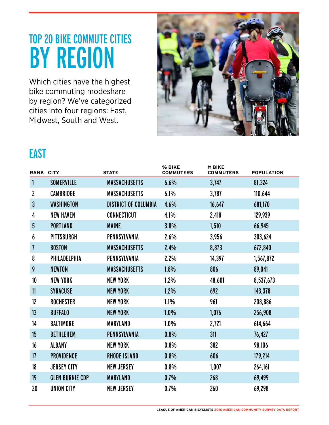## TOP 20 BIKE COMMUTE CITIES BY REGION

Which cities have the highest bike commuting modeshare by region? We've categorized cities into four regions: East, Midwest, South and West.



#### **EAST**

| RANK CITY               |                        | <b>STATE</b>                | % BIKE<br><b>COMMUTERS</b> | # BIKE<br><b>COMMUTERS</b> | <b>POPULATION</b> |
|-------------------------|------------------------|-----------------------------|----------------------------|----------------------------|-------------------|
| 1                       | <b>SOMERVILLE</b>      | <b>MASSACHUSETTS</b>        | 6.6%                       | 3,747                      | 81,324            |
| $\overline{\mathbf{c}}$ | <b>CAMBRIDGE</b>       | <b>MASSACHUSETTS</b>        | 6.1%                       | 3,787                      | 110,644           |
| 3                       | WASHINGTON             | <b>DISTRICT OF COLUMBIA</b> | 4.6%                       | 16,647                     | 681,170           |
| 4                       | <b>NEW HAVEN</b>       | <b>CONNECTICUT</b>          | 4.1%                       | 2,418                      | 129,939           |
| 5                       | <b>PORTLAND</b>        | <b>MAINE</b>                | 3.8%                       | 1,510                      | 66,945            |
| 6                       | <b>PITTSBURGH</b>      | PENNSYLVANIA                | 2.6%                       | 3,956                      | 303,624           |
| 7                       | <b>BOSTON</b>          | <b>MASSACHUSETTS</b>        | 2.4%                       | 8,873                      | 672,840           |
| 8                       | PHILADELPHIA           | PENNSYLVANIA                | 2.2%                       | 14,397                     | 1,567,872         |
| 9                       | <b>NEWTON</b>          | <b>MASSACHUSETTS</b>        | 1.8%                       | 806                        | 89,041            |
| 10                      | <b>NEW YORK</b>        | <b>NEW YORK</b>             | 1.2%                       | 48,601                     | 8,537,673         |
| 11                      | <b>SYRACUSE</b>        | <b>NEW YORK</b>             | 1.2%                       | 692                        | 143,378           |
| 12                      | <b>ROCHESTER</b>       | <b>NEW YORK</b>             | 1.1%                       | 961                        | 208,886           |
| 13                      | <b>BUFFALO</b>         | <b>NEW YORK</b>             | 1.0%                       | 1,076                      | 256,908           |
| 14                      | <b>BALTIMORE</b>       | MARYLAND                    | 1.0%                       | 2,721                      | 614,664           |
| 15                      | <b>BETHLEHEM</b>       | PENNSYLVANIA                | 0.8%                       | 311                        | 76,427            |
| 16                      | <b>ALBANY</b>          | <b>NEW YORK</b>             | 0.8%                       | 382                        | 98,106            |
| 17                      | <b>PROVIDENCE</b>      | <b>RHODE ISLAND</b>         | 0.8%                       | 606                        | 179,214           |
| 18                      | <b>JERSEY CITY</b>     | <b>NEW JERSEY</b>           | 0.8%                       | 1,007                      | 264,161           |
| 19                      | <b>GLEN BURNIE CDP</b> | <b>MARYLAND</b>             | 0.7%                       | 268                        | 69,499            |
| 20                      | <b>UNION CITY</b>      | <b>NEW JERSEY</b>           | 0.7%                       | 260                        | 69,298            |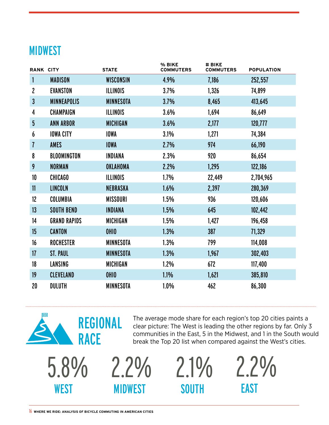#### **MIDWEST**

| <b>RANK CITY</b> |                     | <b>STATE</b>     | % BIKE<br><b>COMMUTERS</b> | # BIKE<br><b>COMMUTERS</b> | <b>POPULATION</b> |
|------------------|---------------------|------------------|----------------------------|----------------------------|-------------------|
| 1                | <b>MADISON</b>      | <b>WISCONSIN</b> | 4.9%                       | 7,186                      | 252,557           |
| 2                | <b>EVANSTON</b>     | <b>ILLINOIS</b>  | 3.7%                       | 1,326                      | 74,899            |
| 3                | <b>MINNEAPOLIS</b>  | <b>MINNESOTA</b> | 3.7%                       | 8,465                      | 413,645           |
| 4                | CHAMPAIGN           | <b>ILLINOIS</b>  | 3.6%                       | 1,694                      | 86,649            |
| $5\phantom{.0}$  | <b>ANN ARBOR</b>    | <b>MICHIGAN</b>  | 3.6%                       | 2,177                      | 120,777           |
| 6                | <b>IOWA CITY</b>    | <b>IOWA</b>      | 3.1%                       | 1,271                      | 74,384            |
| 7                | <b>AMES</b>         | <b>IOWA</b>      | 2.7%                       | 974                        | 66,190            |
| 8                | <b>BLOOMINGTON</b>  | <b>INDIANA</b>   | 2.3%                       | 920                        | 86,654            |
| 9                | <b>NORMAN</b>       | OKLAHOMA         | 2.2%                       | 1,295                      | 122,186           |
| 10               | <b>CHICAGO</b>      | <b>ILLINOIS</b>  | 1.7%                       | 22,449                     | 2,704,965         |
| 11               | <b>LINCOLN</b>      | NEBRASKA         | 1.6%                       | 2,397                      | 280,369           |
| 12               | COLUMBIA            | <b>MISSOURI</b>  | 1.5%                       | 936                        | 120,606           |
| 13               | <b>SOUTH BEND</b>   | <b>INDIANA</b>   | 1.5%                       | 645                        | 102,442           |
| 14               | <b>GRAND RAPIDS</b> | <b>MICHIGAN</b>  | 1.5%                       | 1,427                      | 196,458           |
| 15               | <b>CANTON</b>       | <b>OHIO</b>      | 1.3%                       | 387                        | 71,329            |
| 16               | <b>ROCHESTER</b>    | <b>MINNESOTA</b> | 1.3%                       | 799                        | 114,008           |
| 17               | <b>ST. PAUL</b>     | <b>MINNESOTA</b> | 1.3%                       | 1,967                      | 302,403           |
| 18               | <b>LANSING</b>      | <b>MICHIGAN</b>  | 1.2%                       | 672                        | 117,400           |
| 19               | <b>CLEVELAND</b>    | <b>OHIO</b>      | 1.1%                       | 1,621                      | 385,810           |
| 20               | <b>DULUTH</b>       | <b>MINNESOTA</b> | 1.0%                       | 462                        | 86,300            |



The average mode share for each region's top 20 cities paints a clear picture: The West is leading the other regions by far. Only 3 communities in the East, 5 in the Midwest, and 1 in the South would break the Top 20 list when compared against the West's cities.

5.8% 2.2% 2.1% 2.2%<br>
WEST MIDWEST SOUTH EAST

MIDWEST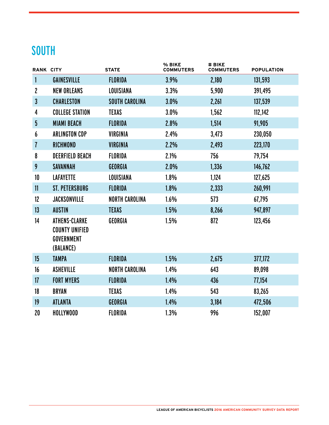#### SOUTH

| <b>RANK CITY</b> |                                                                          | <b>STATE</b>          | % BIKE<br><b>COMMUTERS</b> | # BIKE<br><b>COMMUTERS</b> | <b>POPULATION</b> |  |
|------------------|--------------------------------------------------------------------------|-----------------------|----------------------------|----------------------------|-------------------|--|
| 1                | <b>GAINESVILLE</b>                                                       | <b>FLORIDA</b>        | 3.9%                       | 2,180                      | 131,593           |  |
| 2                | <b>NEW ORLEANS</b>                                                       | LOUISIANA             | 3.3%                       | 5,900                      | 391,495           |  |
| $\overline{3}$   | <b>CHARLESTON</b>                                                        | <b>SOUTH CAROLINA</b> | 3.0%                       | 2,261                      | 137,539           |  |
| 4                | <b>COLLEGE STATION</b>                                                   | <b>TEXAS</b>          | 3.0%                       | 1,562                      | 112,142           |  |
| 5                | <b>MIAMI BEACH</b>                                                       | <b>FLORIDA</b>        | 2.8%                       | 1,514                      | 91,905            |  |
| 6                | <b>ARLINGTON CDP</b>                                                     | VIRGINIA              | 2.4%                       | 3,473                      | 230,050           |  |
| 7                | RICHMOND                                                                 | <b>VIRGINIA</b>       | 2.2%                       | 2,493                      | 223,170           |  |
| 8                | <b>DEERFIELD BEACH</b>                                                   | <b>FLORIDA</b>        | 2.1%                       | 756                        | 79,754            |  |
| 9                | <b>SAVANNAH</b>                                                          | <b>GEORGIA</b>        | 2.0%                       | 1,336                      | 146,762           |  |
| 10               | <b>LAFAYETTE</b>                                                         | LOUISIANA             | 1.8%                       | 1,124                      | 127,625           |  |
| 11               | <b>ST. PETERSBURG</b>                                                    | <b>FLORIDA</b>        | 1.8%                       | 2,333                      | 260,991           |  |
| 12               | <b>JACKSONVILLE</b>                                                      | <b>NORTH CAROLINA</b> | 1.6%                       | 573                        | 67,795            |  |
| 13               | <b>AUSTIN</b>                                                            | <b>TEXAS</b>          | 1.5%                       | 8,266                      | 947,897           |  |
| 14               | <b>ATHENS-CLARKE</b><br><b>COUNTY UNIFIED</b><br>GOVERNMENT<br>(BALANCE) | GEORGIA               | 1.5%                       | 872                        | 123,456           |  |
| 15               | <b>TAMPA</b>                                                             | <b>FLORIDA</b>        | 1.5%                       | 2,675                      | 377,172           |  |
| 16               | <b>ASHEVILLE</b>                                                         | <b>NORTH CAROLINA</b> | 1.4%                       | 643                        | 89,098            |  |
| 17               | <b>FORT MYERS</b>                                                        | <b>FLORIDA</b>        | 1.4%                       | 436                        | 77,154            |  |
| 18               | <b>BRYAN</b>                                                             | <b>TEXAS</b>          | 1.4%                       | 543                        | 83,265            |  |
| 19               | <b>ATLANTA</b>                                                           | <b>GEORGIA</b>        | 1.4%                       | 3,184                      | 472,506           |  |
| 20               | HOLLYWOOD                                                                | <b>FLORIDA</b>        | 1.3%                       | 996                        | 152,007           |  |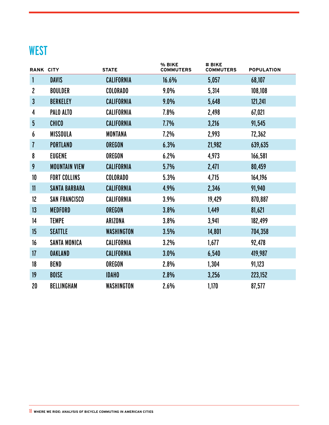#### **WEST**

| <b>RANK CITY</b> |                      | <b>STATE</b>      | % BIKE<br><b>COMMUTERS</b> | # BIKE<br><b>COMMUTERS</b> | <b>POPULATION</b> |
|------------------|----------------------|-------------------|----------------------------|----------------------------|-------------------|
| 1                | <b>DAVIS</b>         | <b>CALIFORNIA</b> | 16.6%                      | 5,057                      | 68,107            |
| 2                | <b>BOULDER</b>       | <b>COLORADO</b>   | 9.0%                       | 5,314                      | 108,108           |
| $\overline{3}$   | <b>BERKELEY</b>      | <b>CALIFORNIA</b> | 9.0%                       | 5,648                      | 121,241           |
| 4                | PALO ALTO            | CALIFORNIA        | 7.8%                       | 2,498                      | 67,021            |
| 5                | <b>CHICO</b>         | <b>CALIFORNIA</b> | 7.7%                       | 3,216                      | 91,545            |
| 6                | <b>MISSOULA</b>      | <b>MONTANA</b>    | 7.2%                       | 2,993                      | 72,362            |
| 7                | <b>PORTLAND</b>      | <b>OREGON</b>     | 6.3%                       | 21,982                     | 639,635           |
| 8                | <b>EUGENE</b>        | <b>OREGON</b>     | 6.2%                       | 4,973                      | 166,581           |
| 9                | <b>MOUNTAIN VIEW</b> | <b>CALIFORNIA</b> | 5.7%                       | 2,471                      | 80,459            |
| 10               | <b>FORT COLLINS</b>  | <b>COLORADO</b>   | 5.3%                       | 4,715                      | 164,196           |
| 11               | <b>SANTA BARBARA</b> | <b>CALIFORNIA</b> | 4.9%                       | 2,346                      | 91,940            |
| 12               | <b>SAN FRANCISCO</b> | <b>CALIFORNIA</b> | 3.9%                       | 19,429                     | 870,887           |
| 13               | <b>MEDFORD</b>       | <b>OREGON</b>     | 3.8%                       | 1,449                      | 81,621            |
| 14               | <b>TEMPE</b>         | ARIZONA           | 3.8%                       | 3,941                      | 182,499           |
| 15               | <b>SEATTLE</b>       | WASHINGTON        | 3.5%                       | 14,801                     | 704,358           |
| 16               | <b>SANTA MONICA</b>  | CALIFORNIA        | 3.2%                       | 1,677                      | 92,478            |
| 17               | <b>OAKLAND</b>       | <b>CALIFORNIA</b> | 3.0%                       | 6,540                      | 419,987           |
| 18               | <b>BEND</b>          | <b>OREGON</b>     | 2.8%                       | 1,304                      | 91,123            |
| 19               | <b>BOISE</b>         | <b>IDAHO</b>      | 2.8%                       | 3,256                      | 223,152           |
| 20               | <b>BELLINGHAM</b>    | WASHINGTON        | 2.6%                       | 1,170                      | 87,577            |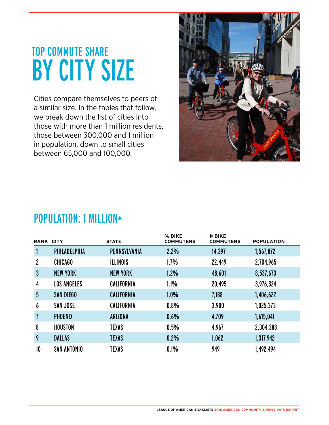## TOP COMMUTE SHARE BY CITY SIZE

Cities compare themselves to peers of a similar size. In the tables that follow, we break down the list of cities into those with more than 1 million residents, those between 300,000 and 1 million in population, down to small cities between 65,000 and 100,000.



#### POPULATION: 1 MILLION+

| <b>RANK CITY</b> |                    | <b>STATE</b>      | % BIKE<br><b>COMMUTERS</b> | # BIKE<br><b>COMMUTERS</b> | <b>POPULATION</b> |
|------------------|--------------------|-------------------|----------------------------|----------------------------|-------------------|
| 1                | PHILADELPHIA       | PENNSYLVANIA      | 2.2%                       | 14,397                     | 1,567,872         |
| $\mathbf{2}$     | <b>CHICAGO</b>     | <b>ILLINOIS</b>   | 1.7%                       | 22,449                     | 2,704,965         |
| $\mathbf{3}$     | <b>NEW YORK</b>    | <b>NEW YORK</b>   | 1.2%                       | 48,601                     | 8,537,673         |
| 4                | <b>LOS ANGELES</b> | <b>CALIFORNIA</b> | 1.1%                       | 20,495                     | 3,976,324         |
| $5\phantom{.0}$  | <b>SAN DIEGO</b>   | <b>CALIFORNIA</b> | 1.0%                       | 7,188                      | 1,406,622         |
| 6                | <b>SAN JOSE</b>    | CALIFORNIA        | 0.8%                       | 3,900                      | 1,025,373         |
| $\overline{1}$   | <b>PHOENIX</b>     | <b>ARIZONA</b>    | 0.6%                       | 4,709                      | 1,615,041         |
| 8                | <b>HOUSTON</b>     | <b>TEXAS</b>      | 0.5%                       | 4,967                      | 2,304,388         |
| 9                | <b>DALLAS</b>      | <b>TEXAS</b>      | 0.2%                       | 1,062                      | 1,317,942         |
| 10               | <b>SAN ANTONIO</b> | <b>TEXAS</b>      | 0.1%                       | 949                        | 1,492,494         |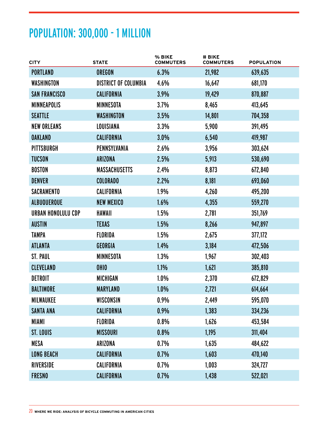### POPULATION: 300,000 - 1 MILLION

| <b>CITY</b>          | <b>STATE</b>                | % BIKE<br><b>COMMUTERS</b> | # BIKE<br><b>COMMUTERS</b> | <b>POPULATION</b> |
|----------------------|-----------------------------|----------------------------|----------------------------|-------------------|
| <b>PORTLAND</b>      | <b>OREGON</b>               | 6.3%                       | 21,982                     | 639,635           |
| WASHINGTON           | <b>DISTRICT OF COLUMBIA</b> | 4.6%                       | 16,647                     | 681,170           |
| <b>SAN FRANCISCO</b> | <b>CALIFORNIA</b>           | 3.9%                       | 19,429                     | 870,887           |
| <b>MINNEAPOLIS</b>   | <b>MINNESOTA</b>            | 3.7%                       | 8,465                      | 413,645           |
| <b>SEATTLE</b>       | WASHINGTON                  | 3.5%                       | 14,801                     | 704,358           |
| <b>NEW ORLEANS</b>   | LOUISIANA                   | 3.3%                       | 5,900                      | 391,495           |
| <b>OAKLAND</b>       | <b>CALIFORNIA</b>           | 3.0%                       | 6,540                      | 419,987           |
| <b>PITTSBURGH</b>    | PENNSYLVANIA                | 2.6%                       | 3,956                      | 303,624           |
| <b>TUCSON</b>        | ARIZONA                     | 2.5%                       | 5,913                      | 530,690           |
| <b>BOSTON</b>        | <b>MASSACHUSETTS</b>        | 2.4%                       | 8,873                      | 672,840           |
| <b>DENVER</b>        | <b>COLORADO</b>             | 2.2%                       | 8,181                      | 693,060           |
| <b>SACRAMENTO</b>    | <b>CALIFORNIA</b>           | 1.9%                       | 4,260                      | 495,200           |
| <b>ALBUQUERQUE</b>   | <b>NEW MEXICO</b>           | 1.6%                       | 4,355                      | 559,270           |
| URBAN HONOLULU CDP   | <b>HAWAII</b>               | 1.5%                       | 2,781                      | 351,769           |
| <b>AUSTIN</b>        | <b>TEXAS</b>                | 1.5%                       | 8,266                      | 947,897           |
| <b>TAMPA</b>         | <b>FLORIDA</b>              | 1.5%                       | 2,675                      | 377,172           |
| <b>ATLANTA</b>       | GEORGIA                     | 1.4%                       | 3,184                      | 472,506           |
| <b>ST. PAUL</b>      | <b>MINNESOTA</b>            | 1.3%                       | 1,967                      | 302,403           |
| <b>CLEVELAND</b>     | <b>OHIO</b>                 | 1.1%                       | 1,621                      | 385,810           |
| <b>DETROIT</b>       | <b>MICHIGAN</b>             | 1.0%                       | 2,370                      | 672,829           |
| <b>BALTIMORE</b>     | <b>MARYLAND</b>             | 1.0%                       | 2,721                      | 614,664           |
| <b>MILWAUKEE</b>     | WISCONSIN                   | 0.9%                       | 2,449                      | 595,070           |
| <b>SANTA ANA</b>     | <b>CALIFORNIA</b>           | 0.9%                       | 1,383                      | 334,236           |
| <b>MIAMI</b>         | <b>FLORIDA</b>              | 0.8%                       | 1,626                      | 453,584           |
| ST. LOUIS            | <b>MISSOURI</b>             | 0.8%                       | 1,195                      | 311,404           |
| <b>MESA</b>          | ARIZONA                     | 0.7%                       | 1,635                      | 484,622           |
| <b>LONG BEACH</b>    | <b>CALIFORNIA</b>           | 0.7%                       | 1,603                      | 470,140           |
| <b>RIVERSIDE</b>     | CALIFORNIA                  | 0.7%                       | 1,003                      | 324,727           |
| <b>FRESNO</b>        | CALIFORNIA                  | 0.7%                       | 1,438                      | 522,021           |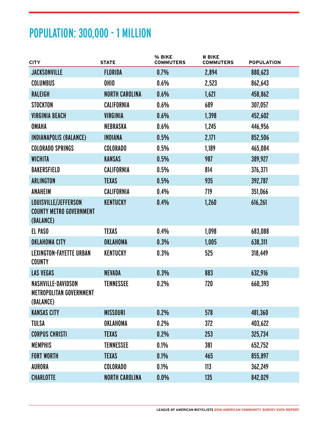### POPULATION: 300,000 - 1 MILLION

| <b>CITY</b>                                                              | <b>STATE</b>          | % BIKE<br><b>COMMUTERS</b> | # BIKE<br><b>COMMUTERS</b> | <b>POPULATION</b> |
|--------------------------------------------------------------------------|-----------------------|----------------------------|----------------------------|-------------------|
| <b>JACKSONVILLE</b>                                                      | <b>FLORIDA</b>        | 0.7%                       | 2,894                      | 880,623           |
| <b>COLUMBUS</b>                                                          | OHIO                  | 0.6%                       | 2,523                      | 862,643           |
| <b>RALEIGH</b>                                                           | <b>NORTH CAROLINA</b> | 0.6%                       | 1,621                      | 458,862           |
| <b>STOCKTON</b>                                                          | CALIFORNIA            | 0.6%                       | 689                        | 307,057           |
| <b>VIRGINIA BEACH</b>                                                    | <b>VIRGINIA</b>       | 0.6%                       | 1,398                      | 452,602           |
| OMAHA                                                                    | NEBRASKA              | 0.6%                       | 1,245                      | 446,956           |
| INDIANAPOLIS (BALANCE)                                                   | <b>INDIANA</b>        | 0.5%                       | 2,171                      | 852,506           |
| <b>COLORADO SPRINGS</b>                                                  | <b>COLORADO</b>       | 0.5%                       | 1,189                      | 465,084           |
| <b>WICHITA</b>                                                           | <b>KANSAS</b>         | 0.5%                       | 987                        | 389,927           |
| <b>BAKERSFIELD</b>                                                       | CALIFORNIA            | 0.5%                       | 814                        | 376,371           |
| ARLINGTON                                                                | <b>TEXAS</b>          | 0.5%                       | 935                        | 392,787           |
| <b>ANAHEIM</b>                                                           | CALIFORNIA            | 0.4%                       | 719                        | 351,066           |
| LOUISVILLE/JEFFERSON<br><b>COUNTY METRO GOVERNMENT</b><br>(BALANCE)      | <b>KENTUCKY</b>       | 0.4%                       | 1,260                      | 616,261           |
| EL PASO                                                                  | <b>TEXAS</b>          | 0.4%                       | 1,098                      | 683,088           |
| <b>OKLAHOMA CITY</b>                                                     | <b>OKLAHOMA</b>       | 0.3%                       | 1,005                      | 638,311           |
| <b>LEXINGTON-FAYETTE URBAN</b><br><b>COUNTY</b>                          | KENTUCKY              | 0.3%                       | 525                        | 318,449           |
| <b>LAS VEGAS</b>                                                         | <b>NEVADA</b>         | 0.3%                       | 883                        | 632,916           |
| <b>NASHVILLE-DAVIDSON</b><br><b>METROPOLITAN GOVERNMENT</b><br>(BALANCE) | <b>TENNESSEE</b>      | 0.2%                       | 720                        | 660,393           |
| <b>KANSAS CITY</b>                                                       | <b>MISSOURI</b>       | 0.2%                       | 578                        | 481,360           |
| <b>TULSA</b>                                                             | OKLAHOMA              | 0.2%                       | 372                        | 403,622           |
| <b>CORPUS CHRISTI</b>                                                    | <b>TEXAS</b>          | 0.2%                       | 253                        | 325,734           |
| <b>MEMPHIS</b>                                                           | <b>TENNESSEE</b>      | $0.1\%$                    | 381                        | 652,752           |
| <b>FORT WORTH</b>                                                        | <b>TEXAS</b>          | 0.1%                       | 465                        | 855,897           |
| <b>AURORA</b>                                                            | <b>COLORADO</b>       | 0.1%                       | 113                        | 362,249           |
| <b>CHARLOTTE</b>                                                         | <b>NORTH CAROLINA</b> | $0.0\%$                    | 135                        | 842,029           |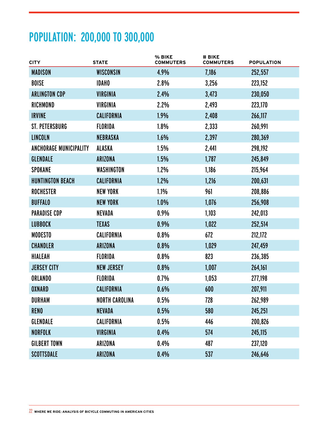| <b>CITY</b>                   | <b>STATE</b>          | % BIKE<br><b>COMMUTERS</b> | # BIKE<br><b>COMMUTERS</b> | <b>POPULATION</b> |
|-------------------------------|-----------------------|----------------------------|----------------------------|-------------------|
| <b>MADISON</b>                | <b>WISCONSIN</b>      | 4.9%                       | 7,186                      | 252,557           |
| <b>BOISE</b>                  | <b>IDAHO</b>          | 2.8%                       | 3,256                      | 223,152           |
| <b>ARLINGTON CDP</b>          | <b>VIRGINIA</b>       | 2.4%                       | 3,473                      | 230,050           |
| <b>RICHMOND</b>               | <b>VIRGINIA</b>       | 2.2%                       | 2,493                      | 223,170           |
| <b>IRVINE</b>                 | <b>CALIFORNIA</b>     | 1.9%                       | 2,408                      | 266,117           |
| <b>ST. PETERSBURG</b>         | <b>FLORIDA</b>        | 1.8%                       | 2,333                      | 260,991           |
| <b>LINCOLN</b>                | NEBRASKA              | 1.6%                       | 2,397                      | 280,369           |
| <b>ANCHORAGE MUNICIPALITY</b> | ALASKA                | 1.5%                       | 2,441                      | 298,192           |
| <b>GLENDALE</b>               | ARIZONA               | 1.5%                       | 1,787                      | 245,849           |
| <b>SPOKANE</b>                | WASHINGTON            | 1.2%                       | 1,186                      | 215,964           |
| <b>HUNTINGTON BEACH</b>       | <b>CALIFORNIA</b>     | 1.2%                       | 1,216                      | 200,631           |
| <b>ROCHESTER</b>              | <b>NEW YORK</b>       | 1.1%                       | 961                        | 208,886           |
| <b>BUFFALO</b>                | <b>NEW YORK</b>       | 1.0%                       | 1,076                      | 256,908           |
| <b>PARADISE CDP</b>           | <b>NEVADA</b>         | 0.9%                       | 1,103                      | 242,013           |
| <b>LUBBOCK</b>                | <b>TEXAS</b>          | 0.9%                       | 1,022                      | 252,514           |
| <b>MODESTO</b>                | <b>CALIFORNIA</b>     | 0.8%                       | 672                        | 212,172           |
| <b>CHANDLER</b>               | <b>ARIZONA</b>        | 0.8%                       | 1,029                      | 247,459           |
| <b>HIALEAH</b>                | <b>FLORIDA</b>        | 0.8%                       | 823                        | 236,385           |
| <b>JERSEY CITY</b>            | <b>NEW JERSEY</b>     | 0.8%                       | 1,007                      | 264,161           |
| <b>ORLANDO</b>                | <b>FLORIDA</b>        | 0.7%                       | 1,053                      | 277,198           |
| <b>OXNARD</b>                 | <b>CALIFORNIA</b>     | 0.6%                       | 600                        | 207,911           |
| <b>DURHAM</b>                 | <b>NORTH CAROLINA</b> | 0.5%                       | 728                        | 262,989           |
| <b>RENO</b>                   | <b>NEVADA</b>         | 0.5%                       | 580                        | 245,251           |
| GLENDALE                      | CALIFORNIA            | 0.5%                       | 446                        | 200,826           |
| <b>NORFOLK</b>                | <b>VIRGINIA</b>       | 0.4%                       | 574                        | 245,115           |
| <b>GILBERT TOWN</b>           | ARIZONA               | 0.4%                       | 487                        | 237,120           |
| <b>SCOTTSDALE</b>             | <b>ARIZONA</b>        | 0.4%                       | 537                        | 246,646           |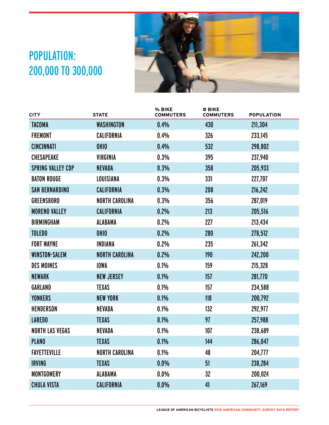

| <b>STATE</b>          | % BIKE<br><b>COMMUTERS</b> | # BIKE<br><b>COMMUTERS</b> | <b>POPULATION</b> |
|-----------------------|----------------------------|----------------------------|-------------------|
| WASHINGTON            | 0.4%                       | 430                        | 211,304           |
| <b>CALIFORNIA</b>     | 0.4%                       | 326                        | 233,145           |
| <b>OHIO</b>           | 0.4%                       | 532                        | 298,802           |
| <b>VIRGINIA</b>       | 0.3%                       | 395                        | 237,940           |
| <b>NEVADA</b>         | 0.3%                       | 358                        | 205,933           |
| LOUISIANA             | 0.3%                       | 331                        | 227,707           |
| <b>CALIFORNIA</b>     | 0.3%                       | 208                        | 216,242           |
| <b>NORTH CAROLINA</b> | 0.3%                       | 356                        | 287,019           |
| <b>CALIFORNIA</b>     | 0.2%                       | 213                        | 205,516           |
| <b>ALABAMA</b>        | 0.2%                       | 227                        | 213,434           |
| <b>OHIO</b>           | 0.2%                       | 280                        | 278,512           |
| <b>INDIANA</b>        | 0.2%                       | 235                        | 261,342           |
| <b>NORTH CAROLINA</b> | 0.2%                       | 190                        | 242,200           |
| <b>IOWA</b>           | 0.1%                       | 159                        | 215,328           |
| <b>NEW JERSEY</b>     | 0.1%                       | 157                        | 281,770           |
| <b>TEXAS</b>          | 0.1%                       | 157                        | 234,588           |
| <b>NEW YORK</b>       | 0.1%                       | 118                        | 200,792           |
| <b>NEVADA</b>         | 0.1%                       | 132                        | 292,977           |
| <b>TEXAS</b>          | 0.1%                       | 97                         | 257,988           |
| <b>NEVADA</b>         | 0.1%                       | 107                        | 238,689           |
| <b>TEXAS</b>          | 0.1%                       | 144                        | 286,047           |
| <b>NORTH CAROLINA</b> | 0.1%                       | 48                         | 204,777           |
| <b>TEXAS</b>          | 0.0%                       | 51                         | 238,284           |
| <b>ALABAMA</b>        | 0.0%                       | 32                         | 200,024           |
| <b>CALIFORNIA</b>     | 0.0%                       | 41                         | 267,169           |
|                       |                            |                            |                   |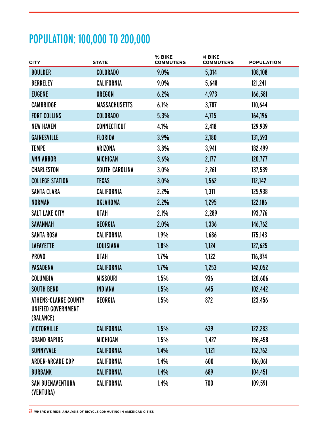| <b>CITY</b>                                                    | <b>STATE</b>          | % BIKE<br><b>COMMUTERS</b> | # BIKE<br><b>COMMUTERS</b> | <b>POPULATION</b> |
|----------------------------------------------------------------|-----------------------|----------------------------|----------------------------|-------------------|
| <b>BOULDER</b>                                                 | <b>COLORADO</b>       | 9.0%                       | 5,314                      | 108,108           |
| <b>BERKELEY</b>                                                | <b>CALIFORNIA</b>     | 9.0%                       | 5,648                      | 121,241           |
| <b>EUGENE</b>                                                  | <b>OREGON</b>         | 6.2%                       | 4,973                      | 166,581           |
| <b>CAMBRIDGE</b>                                               | <b>MASSACHUSETTS</b>  | 6.1%                       | 3,787                      | 110,644           |
| <b>FORT COLLINS</b>                                            | <b>COLORADO</b>       | 5.3%                       | 4,715                      | 164,196           |
| <b>NEW HAVEN</b>                                               | <b>CONNECTICUT</b>    | 4.1%                       | 2,418                      | 129,939           |
| <b>GAINESVILLE</b>                                             | <b>FLORIDA</b>        | 3.9%                       | 2,180                      | 131,593           |
| <b>TEMPE</b>                                                   | ARIZONA               | 3.8%                       | 3,941                      | 182,499           |
| <b>ANN ARBOR</b>                                               | <b>MICHIGAN</b>       | 3.6%                       | 2,177                      | 120,777           |
| <b>CHARLESTON</b>                                              | <b>SOUTH CAROLINA</b> | 3.0%                       | 2,261                      | 137,539           |
| <b>COLLEGE STATION</b>                                         | <b>TEXAS</b>          | 3.0%                       | 1,562                      | 112,142           |
| <b>SANTA CLARA</b>                                             | <b>CALIFORNIA</b>     | 2.2%                       | 1,311                      | 125,938           |
| <b>NORMAN</b>                                                  | OKLAHOMA              | 2.2%                       | 1,295                      | 122,186           |
| <b>SALT LAKE CITY</b>                                          | UTAH                  | 2.1%                       | 2,289                      | 193,776           |
| <b>SAVANNAH</b>                                                | GEORGIA               | 2.0%                       | 1,336                      | 146,762           |
| <b>SANTA ROSA</b>                                              | <b>CALIFORNIA</b>     | 1.9%                       | 1,686                      | 175,143           |
| <b>LAFAYETTE</b>                                               | LOUISIANA             | 1.8%                       | 1,124                      | 127,625           |
| <b>PROVO</b>                                                   | UTAH                  | 1.7%                       | 1,122                      | 116,874           |
| <b>PASADENA</b>                                                | <b>CALIFORNIA</b>     | 1.7%                       | 1,253                      | 142,052           |
| COLUMBIA                                                       | <b>MISSOURI</b>       | 1.5%                       | 936                        | 120,606           |
| <b>SOUTH BEND</b>                                              | <b>INDIANA</b>        | 1.5%                       | 645                        | 102,442           |
| <b>ATHENS-CLARKE COUNTY</b><br>UNIFIED GOVERNMENT<br>(BALANCE) | GEORGIA               | 1.5%                       | 872                        | 123,456           |
| <b>VICTORVILLE</b>                                             | <b>CALIFORNIA</b>     | 1.5%                       | 639                        | 122,283           |
| <b>GRAND RAPIDS</b>                                            | <b>MICHIGAN</b>       | 1.5%                       | 1,427                      | 196,458           |
| <b>SUNNYVALE</b>                                               | <b>CALIFORNIA</b>     | 1.4%                       | 1,121                      | 152,762           |
| <b>ARDEN-ARCADE CDP</b>                                        | CALIFORNIA            | 1.4%                       | 600                        | 106,061           |
| <b>BURBANK</b>                                                 | <b>CALIFORNIA</b>     | 1.4%                       | 689                        | 104,451           |
| <b>SAN BUENAVENTURA</b><br>(VENTURA)                           | <b>CALIFORNIA</b>     | 1.4%                       | 700                        | 109,591           |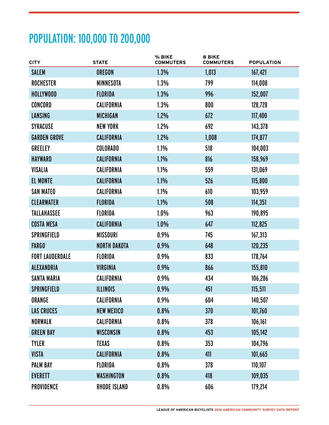| <b>CITY</b>            | <b>STATE</b>        | % BIKE<br><b>COMMUTERS</b> | # BIKE<br><b>COMMUTERS</b> | <b>POPULATION</b> |
|------------------------|---------------------|----------------------------|----------------------------|-------------------|
| <b>SALEM</b>           | <b>OREGON</b>       | 1.3%                       | 1,013                      | 167,421           |
| <b>ROCHESTER</b>       | <b>MINNESOTA</b>    | 1.3%                       | 799                        | 114,008           |
| <b>HOLLYWOOD</b>       | <b>FLORIDA</b>      | 1.3%                       | 996                        | 152,007           |
| <b>CONCORD</b>         | CALIFORNIA          | 1.3%                       | 800                        | 128,728           |
| <b>LANSING</b>         | <b>MICHIGAN</b>     | 1.2%                       | 672                        | 117,400           |
| <b>SYRACUSE</b>        | <b>NEW YORK</b>     | 1.2%                       | 692                        | 143,378           |
| <b>GARDEN GROVE</b>    | <b>CALIFORNIA</b>   | 1.2%                       | 1,008                      | 174,877           |
| GREELEY                | <b>COLORADO</b>     | 1.1%                       | 518                        | 104,003           |
| <b>HAYWARD</b>         | <b>CALIFORNIA</b>   | 1.1%                       | 816                        | 158,969           |
| <b>VISALIA</b>         | CALIFORNIA          | 1.1%                       | 559                        | 131,069           |
| <b>EL MONTE</b>        | <b>CALIFORNIA</b>   | 1.1%                       | 526                        | 115,800           |
| <b>SAN MATEO</b>       | CALIFORNIA          | 1.1%                       | 610                        | 103,959           |
| <b>CLEARWATER</b>      | <b>FLORIDA</b>      | 1.1%                       | 508                        | 114,351           |
| <b>TALLAHASSEE</b>     | <b>FLORIDA</b>      | 1.0%                       | 963                        | 190,895           |
| <b>COSTA MESA</b>      | <b>CALIFORNIA</b>   | 1.0%                       | 647                        | 112,825           |
| <b>SPRINGFIELD</b>     | <b>MISSOURI</b>     | 0.9%                       | 745                        | 167,313           |
| <b>FARGO</b>           | <b>NORTH DAKOTA</b> | 0.9%                       | 648                        | 120,235           |
| <b>FORT LAUDERDALE</b> | <b>FLORIDA</b>      | 0.9%                       | 833                        | 178,764           |
| <b>ALEXANDRIA</b>      | <b>VIRGINIA</b>     | 0.9%                       | 866                        | 155,810           |
| <b>SANTA MARIA</b>     | CALIFORNIA          | 0.9%                       | 434                        | 106,286           |
| <b>SPRINGFIELD</b>     | <b>ILLINOIS</b>     | 0.9%                       | 451                        | 115,511           |
| ORANGE                 | CALIFORNIA          | 0.9%                       | 604                        | 140,507           |
| <b>LAS CRUCES</b>      | <b>NEW MEXICO</b>   | 0.8%                       | 370                        | 101,760           |
| <b>NORWALK</b>         | CALIFORNIA          | 0.8%                       | 378                        | 106,161           |
| <b>GREEN BAY</b>       | WISCONSIN           | 0.8%                       | 453                        | 105,142           |
| <b>TYLER</b>           | <b>TEXAS</b>        | 0.8%                       | 353                        | 104,796           |
| <b>VISTA</b>           | <b>CALIFORNIA</b>   | 0.8%                       | 411                        | 101,665           |
| <b>PALM BAY</b>        | FLORIDA             | 0.8%                       | 378                        | 110,107           |
| <b>EVERETT</b>         | WASHINGTON          | 0.8%                       | 418                        | 109,035           |
| PROVIDENCE             | <b>RHODE ISLAND</b> | 0.8%                       | 606                        | 179,214           |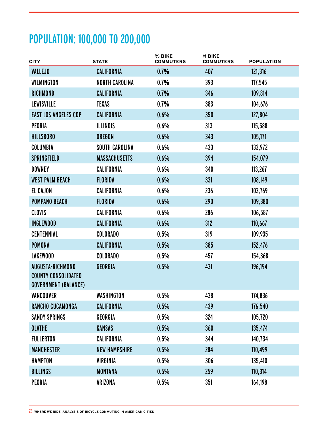| <b>CITY</b>                                                                          | <b>STATE</b>          | % BIKE<br><b>COMMUTERS</b> | # BIKE<br><b>COMMUTERS</b> | <b>POPULATION</b> |
|--------------------------------------------------------------------------------------|-----------------------|----------------------------|----------------------------|-------------------|
| <b>VALLEJO</b>                                                                       | <b>CALIFORNIA</b>     | 0.7%                       | 407                        | 121,316           |
| WILMINGTON                                                                           | <b>NORTH CAROLINA</b> | 0.7%                       | 393                        | 117,545           |
| RICHMOND                                                                             | <b>CALIFORNIA</b>     | 0.7%                       | 346                        | 109,814           |
| <b>LEWISVILLE</b>                                                                    | <b>TEXAS</b>          | 0.7%                       | 383                        | 104,676           |
| <b>EAST LOS ANGELES CDP</b>                                                          | <b>CALIFORNIA</b>     | 0.6%                       | 350                        | 127,804           |
| PEORIA                                                                               | <b>ILLINOIS</b>       | 0.6%                       | 313                        | 115,588           |
| <b>HILLSBORO</b>                                                                     | <b>OREGON</b>         | 0.6%                       | 343                        | 105,171           |
| COLUMBIA                                                                             | SOUTH CAROLINA        | 0.6%                       | 433                        | 133,972           |
| <b>SPRINGFIELD</b>                                                                   | <b>MASSACHUSETTS</b>  | 0.6%                       | 394                        | 154,079           |
| <b>DOWNEY</b>                                                                        | <b>CALIFORNIA</b>     | 0.6%                       | 340                        | 113,267           |
| <b>WEST PALM BEACH</b>                                                               | <b>FLORIDA</b>        | 0.6%                       | 331                        | 108,149           |
| <b>EL CAJON</b>                                                                      | CALIFORNIA            | 0.6%                       | 236                        | 103,769           |
| <b>POMPANO BEACH</b>                                                                 | <b>FLORIDA</b>        | 0.6%                       | 290                        | 109,380           |
| <b>CLOVIS</b>                                                                        | CALIFORNIA            | 0.6%                       | 286                        | 106,587           |
| <b>INGLEWOOD</b>                                                                     | <b>CALIFORNIA</b>     | 0.6%                       | 312                        | 110,667           |
| <b>CENTENNIAL</b>                                                                    | <b>COLORADO</b>       | 0.5%                       | 319                        | 109,935           |
| <b>POMONA</b>                                                                        | <b>CALIFORNIA</b>     | 0.5%                       | 385                        | 152,476           |
| <b>LAKEWOOD</b>                                                                      | <b>COLORADO</b>       | 0.5%                       | 457                        | 154,368           |
| <b>AUGUSTA-RICHMOND</b><br><b>COUNTY CONSOLIDATED</b><br><b>GOVERNMENT (BALANCE)</b> | <b>GEORGIA</b>        | 0.5%                       | 431                        | 196,194           |
| <b>VANCOUVER</b>                                                                     | WASHINGTON            | 0.5%                       | 438                        | 174,836           |
| RANCHO CUCAMONGA                                                                     | CALIFORNIA            | 0.5%                       | 439                        | 176,540           |
| <b>SANDY SPRINGS</b>                                                                 | <b>GEORGIA</b>        | 0.5%                       | 324                        | 105,720           |
| <b>OLATHE</b>                                                                        | <b>KANSAS</b>         | 0.5%                       | 360                        | 135,474           |
| <b>FULLERTON</b>                                                                     | CALIFORNIA            | 0.5%                       | 344                        | 140,734           |
| <b>MANCHESTER</b>                                                                    | <b>NEW HAMPSHIRE</b>  | 0.5%                       | 284                        | 110,499           |
| <b>HAMPTON</b>                                                                       | VIRGINIA              | 0.5%                       | 306                        | 135,410           |
| <b>BILLINGS</b>                                                                      | <b>MONTANA</b>        | 0.5%                       | 259                        | 110,314           |
| PEORIA                                                                               | ARIZONA               | 0.5%                       | 351                        | 164,198           |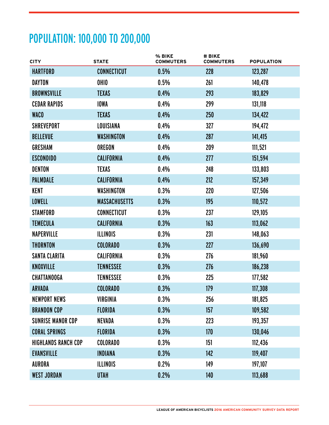| <b>CITY</b>                | <b>STATE</b>         | % BIKE<br><b>COMMUTERS</b> | # BIKE<br><b>COMMUTERS</b> | <b>POPULATION</b> |
|----------------------------|----------------------|----------------------------|----------------------------|-------------------|
| <b>HARTFORD</b>            | <b>CONNECTICUT</b>   | 0.5%                       | 228                        | 123,287           |
| <b>DAYTON</b>              | OHIO                 | 0.5%                       | 261                        | 140,478           |
| <b>BROWNSVILLE</b>         | <b>TEXAS</b>         | 0.4%                       | 293                        | 183,829           |
| <b>CEDAR RAPIDS</b>        | <b>IOWA</b>          | 0.4%                       | 299                        | 131,118           |
| <b>WACO</b>                | <b>TEXAS</b>         | 0.4%                       | 250                        | 134,422           |
| <b>SHREVEPORT</b>          | LOUISIANA            | 0.4%                       | 327                        | 194,472           |
| <b>BELLEVUE</b>            | WASHINGTON           | 0.4%                       | 287                        | 141,415           |
| <b>GRESHAM</b>             | <b>OREGON</b>        | 0.4%                       | 209                        | 111,521           |
| <b>ESCONDIDO</b>           | <b>CALIFORNIA</b>    | 0.4%                       | 277                        | 151,594           |
| <b>DENTON</b>              | <b>TEXAS</b>         | 0.4%                       | 248                        | 133,803           |
| <b>PALMDALE</b>            | <b>CALIFORNIA</b>    | 0.4%                       | 212                        | 157,349           |
| KENT                       | WASHINGTON           | 0.3%                       | 220                        | 127,506           |
| <b>LOWELL</b>              | <b>MASSACHUSETTS</b> | 0.3%                       | 195                        | 110,572           |
| <b>STAMFORD</b>            | <b>CONNECTICUT</b>   | 0.3%                       | 237                        | 129,105           |
| <b>TEMECULA</b>            | <b>CALIFORNIA</b>    | 0.3%                       | 163                        | 113,062           |
| <b>NAPERVILLE</b>          | <b>ILLINOIS</b>      | 0.3%                       | 231                        | 148,063           |
| <b>THORNTON</b>            | <b>COLORADO</b>      | 0.3%                       | 227                        | 136,690           |
| SANTA CLARITA              | CALIFORNIA           | 0.3%                       | 276                        | 181,960           |
| KNOXVILLE                  | <b>TENNESSEE</b>     | 0.3%                       | 276                        | 186,238           |
| <b>CHATTANOOGA</b>         | <b>TENNESSEE</b>     | 0.3%                       | 225                        | 177,582           |
| <b>ARVADA</b>              | <b>COLORADO</b>      | 0.3%                       | 179                        | 117,308           |
| <b>NEWPORT NEWS</b>        | <b>VIRGINIA</b>      | 0.3%                       | 256                        | 181,825           |
| <b>BRANDON CDP</b>         | <b>FLORIDA</b>       | 0.3%                       | 157                        | 109,582           |
| <b>SUNRISE MANOR CDP</b>   | <b>NEVADA</b>        | 0.3%                       | 223                        | 193,357           |
| <b>CORAL SPRINGS</b>       | <b>FLORIDA</b>       | 0.3%                       | 170                        | 130,046           |
| <b>HIGHLANDS RANCH CDP</b> | <b>COLORADO</b>      | 0.3%                       | 151                        | 112,436           |
| <b>EVANSVILLE</b>          | <b>INDIANA</b>       | 0.3%                       | 142                        | 119,407           |
| AURORA                     | <b>ILLINOIS</b>      | 0.2%                       | 149                        | 197,107           |
| <b>WEST JORDAN</b>         | <b>UTAH</b>          | 0.2%                       | 140                        | 113,688           |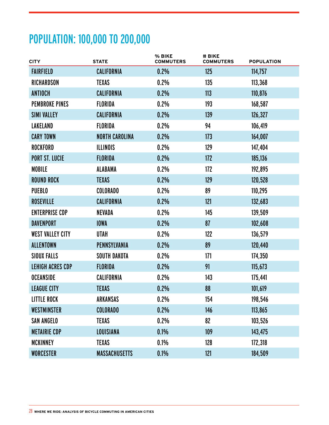| <b>CITY</b>             | <b>STATE</b>          | % BIKE<br><b>COMMUTERS</b> | # BIKE<br><b>COMMUTERS</b> | <b>POPULATION</b> |
|-------------------------|-----------------------|----------------------------|----------------------------|-------------------|
| <b>FAIRFIELD</b>        | <b>CALIFORNIA</b>     | 0.2%                       | 125                        | 114,757           |
| <b>RICHARDSON</b>       | <b>TEXAS</b>          | 0.2%                       | 135                        | 113,368           |
| <b>ANTIOCH</b>          | <b>CALIFORNIA</b>     | 0.2%                       | 113                        | 110,876           |
| <b>PEMBROKE PINES</b>   | <b>FLORIDA</b>        | 0.2%                       | 193                        | 168,587           |
| <b>SIMI VALLEY</b>      | <b>CALIFORNIA</b>     | 0.2%                       | 139                        | 126,327           |
| <b>LAKELAND</b>         | <b>FLORIDA</b>        | 0.2%                       | 94                         | 106,419           |
| <b>CARY TOWN</b>        | <b>NORTH CAROLINA</b> | 0.2%                       | 173                        | 164,007           |
| <b>ROCKFORD</b>         | <b>ILLINOIS</b>       | 0.2%                       | 129                        | 147,404           |
| <b>PORT ST. LUCIE</b>   | <b>FLORIDA</b>        | 0.2%                       | 172                        | 185,136           |
| <b>MOBILE</b>           | <b>ALABAMA</b>        | 0.2%                       | 172                        | 192,895           |
| <b>ROUND ROCK</b>       | <b>TEXAS</b>          | 0.2%                       | 129                        | 120,528           |
| <b>PUEBLO</b>           | <b>COLORADO</b>       | 0.2%                       | 89                         | 110,295           |
| <b>ROSEVILLE</b>        | <b>CALIFORNIA</b>     | 0.2%                       | 121                        | 132,683           |
| <b>ENTERPRISE CDP</b>   | <b>NEVADA</b>         | 0.2%                       | 145                        | 139,509           |
| <b>DAVENPORT</b>        | <b>IOWA</b>           | 0.2%                       | 87                         | 102,608           |
| <b>WEST VALLEY CITY</b> | <b>UTAH</b>           | 0.2%                       | 122                        | 136,579           |
| <b>ALLENTOWN</b>        | PENNSYLVANIA          | 0.2%                       | 89                         | 120,440           |
| <b>SIOUX FALLS</b>      | <b>SOUTH DAKOTA</b>   | 0.2%                       | 171                        | 174,350           |
| <b>LEHIGH ACRES CDP</b> | <b>FLORIDA</b>        | 0.2%                       | 91                         | 115,673           |
| <b>OCEANSIDE</b>        | CALIFORNIA            | 0.2%                       | 143                        | 175,441           |
| <b>LEAGUE CITY</b>      | <b>TEXAS</b>          | 0.2%                       | 88                         | 101,619           |
| <b>LITTLE ROCK</b>      | ARKANSAS              | 0.2%                       | 154                        | 198,546           |
| <b>WESTMINSTER</b>      | <b>COLORADO</b>       | 0.2%                       | 146                        | 113,865           |
| <b>SAN ANGELO</b>       | <b>TEXAS</b>          | 0.2%                       | 82                         | 103,526           |
| <b>METAIRIE CDP</b>     | LOUISIANA             | 0.1%                       | 109                        | 143,475           |
| <b>MCKINNEY</b>         | <b>TEXAS</b>          | 0.1%                       | 128                        | 172,318           |
| <b>WORCESTER</b>        | <b>MASSACHUSETTS</b>  | 0.1%                       | 121                        | 184,509           |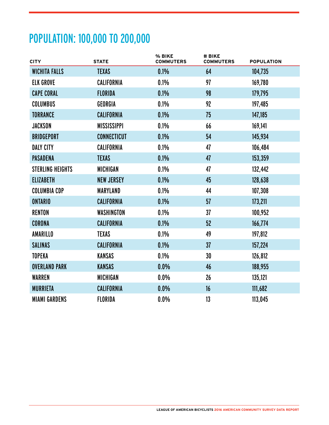| <b>CITY</b>             | <b>STATE</b>       | % BIKE<br><b>COMMUTERS</b> | # BIKE<br><b>COMMUTERS</b> | <b>POPULATION</b> |  |
|-------------------------|--------------------|----------------------------|----------------------------|-------------------|--|
| WICHITA FALLS           | <b>TEXAS</b>       | 0.1%                       | 64                         | 104,735           |  |
| <b>ELK GROVE</b>        | <b>CALIFORNIA</b>  | 0.1%                       | 97                         | 169,780           |  |
| <b>CAPE CORAL</b>       | <b>FLORIDA</b>     | 0.1%                       | 98                         | 179,795           |  |
| <b>COLUMBUS</b>         | <b>GEORGIA</b>     | 0.1%                       | 92                         | 197,485           |  |
| <b>TORRANCE</b>         | <b>CALIFORNIA</b>  | 0.1%                       | 75                         | 147,185           |  |
| <b>JACKSON</b>          | <b>MISSISSIPPI</b> | 0.1%                       | 66                         | 169,141           |  |
| <b>BRIDGEPORT</b>       | <b>CONNECTICUT</b> | 0.1%                       | 54                         | 145,934           |  |
| <b>DALY CITY</b>        | <b>CALIFORNIA</b>  | 0.1%                       | 47                         | 106,484           |  |
| <b>PASADENA</b>         | <b>TEXAS</b>       | 0.1%                       | 47                         | 153,359           |  |
| <b>STERLING HEIGHTS</b> | <b>MICHIGAN</b>    | 0.1%                       | 47                         | 132,442           |  |
| <b>ELIZABETH</b>        | <b>NEW JERSEY</b>  | 0.1%                       | 45                         | 128,638           |  |
| <b>COLUMBIA CDP</b>     | <b>MARYLAND</b>    | 0.1%                       | 44                         | 107,308           |  |
| <b>ONTARIO</b>          | <b>CALIFORNIA</b>  | 0.1%                       | 57                         | 173,211           |  |
| <b>RENTON</b>           | WASHINGTON         | 0.1%                       | 37                         | 100,952           |  |
| <b>CORONA</b>           | <b>CALIFORNIA</b>  | 0.1%                       | 52                         | 166,774           |  |
| <b>AMARILLO</b>         | <b>TEXAS</b>       | 0.1%                       | 49                         | 197,812           |  |
| <b>SALINAS</b>          | <b>CALIFORNIA</b>  | 0.1%                       | 37                         | 157,224           |  |
| <b>TOPEKA</b>           | <b>KANSAS</b>      | 0.1%                       | 30                         | 126,812           |  |
| <b>OVERLAND PARK</b>    | <b>KANSAS</b>      | 0.0%                       | 46                         | 188,955           |  |
| <b>WARREN</b>           | <b>MICHIGAN</b>    | 0.0%                       | 26                         | 135,121           |  |
| <b>MURRIETA</b>         | <b>CALIFORNIA</b>  | 0.0%                       | 16                         | 111,682           |  |
| <b>MIAMI GARDENS</b>    | <b>FLORIDA</b>     | 0.0%                       | 13                         | 113,045           |  |
|                         |                    |                            |                            |                   |  |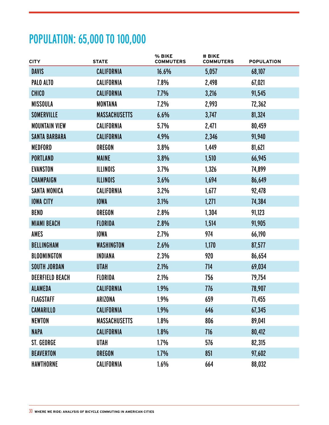| <b>CITY</b>            | <b>STATE</b>         | % BIKE<br><b>COMMUTERS</b> | # BIKE<br><b>COMMUTERS</b> | <b>POPULATION</b> |
|------------------------|----------------------|----------------------------|----------------------------|-------------------|
| <b>DAVIS</b>           | <b>CALIFORNIA</b>    | 16.6%                      | 5,057                      | 68,107            |
| PALO ALTO              | <b>CALIFORNIA</b>    | 7.8%                       | 2,498                      | 67,021            |
| <b>CHICO</b>           | <b>CALIFORNIA</b>    | 7.7%                       | 3,216                      | 91,545            |
| <b>MISSOULA</b>        | <b>MONTANA</b>       | 7.2%                       | 2,993                      | 72,362            |
| <b>SOMERVILLE</b>      | <b>MASSACHUSETTS</b> | 6.6%                       | 3,747                      | 81,324            |
| <b>MOUNTAIN VIEW</b>   | CALIFORNIA           | 5.7%                       | 2,471                      | 80,459            |
| <b>SANTA BARBARA</b>   | <b>CALIFORNIA</b>    | 4.9%                       | 2,346                      | 91,940            |
| MEDFORD                | <b>OREGON</b>        | 3.8%                       | 1,449                      | 81,621            |
| <b>PORTLAND</b>        | <b>MAINE</b>         | 3.8%                       | 1,510                      | 66,945            |
| <b>EVANSTON</b>        | <b>ILLINOIS</b>      | 3.7%                       | 1,326                      | 74,899            |
| <b>CHAMPAIGN</b>       | <b>ILLINOIS</b>      | 3.6%                       | 1,694                      | 86,649            |
| SANTA MONICA           | <b>CALIFORNIA</b>    | 3.2%                       | 1,677                      | 92,478            |
| <b>IOWA CITY</b>       | <b>IOWA</b>          | 3.1%                       | 1,271                      | 74,384            |
| <b>BEND</b>            | <b>OREGON</b>        | 2.8%                       | 1,304                      | 91,123            |
| <b>MIAMI BEACH</b>     | <b>FLORIDA</b>       | 2.8%                       | 1,514                      | 91,905            |
| AMES                   | <b>IOWA</b>          | 2.7%                       | 974                        | 66,190            |
| <b>BELLINGHAM</b>      | <b>WASHINGTON</b>    | 2.6%                       | 1,170                      | 87,577            |
| <b>BLOOMINGTON</b>     | INDIANA              | 2.3%                       | 920                        | 86,654            |
| <b>SOUTH JORDAN</b>    | <b>UTAH</b>          | 2.1%                       | 714                        | 69,034            |
| <b>DEERFIELD BEACH</b> | <b>FLORIDA</b>       | 2.1%                       | 756                        | 79,754            |
| <b>ALAMEDA</b>         | <b>CALIFORNIA</b>    | 1.9%                       | 776                        | 78,907            |
| <b>FLAGSTAFF</b>       | ARIZONA              | 1.9%                       | 659                        | 71,455            |
| <b>CAMARILLO</b>       | <b>CALIFORNIA</b>    | 1.9%                       | 646                        | 67,345            |
| <b>NEWTON</b>          | <b>MASSACHUSETTS</b> | 1.8%                       | 806                        | 89,041            |
| <b>NAPA</b>            | <b>CALIFORNIA</b>    | 1.8%                       | 716                        | 80,412            |
| ST. GEORGE             | <b>UTAH</b>          | 1.7%                       | 576                        | 82,315            |
| <b>BEAVERTON</b>       | <b>OREGON</b>        | 1.7%                       | 851                        | 97,602            |
| <b>HAWTHORNE</b>       | CALIFORNIA           | 1.6%                       | 664                        | 88,032            |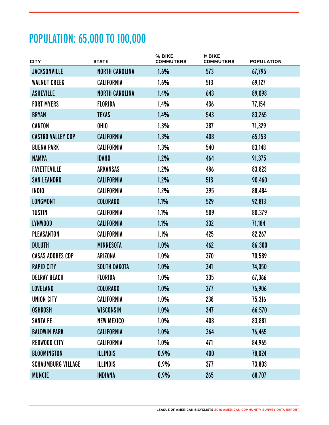| <b>CITY</b>               | <b>STATE</b>          | % BIKE<br><b>COMMUTERS</b> | # BIKE<br><b>COMMUTERS</b> | <b>POPULATION</b> |
|---------------------------|-----------------------|----------------------------|----------------------------|-------------------|
| <b>JACKSONVILLE</b>       | <b>NORTH CAROLINA</b> | 1.6%                       | 573                        | 67,795            |
| <b>WALNUT CREEK</b>       | CALIFORNIA            | 1.6%                       | 513                        | 69,127            |
| <b>ASHEVILLE</b>          | <b>NORTH CAROLINA</b> | 1.4%                       | 643                        | 89,098            |
| <b>FORT MYERS</b>         | <b>FLORIDA</b>        | 1.4%                       | 436                        | 77,154            |
| <b>BRYAN</b>              | <b>TEXAS</b>          | 1.4%                       | 543                        | 83,265            |
| <b>CANTON</b>             | OHIO                  | 1.3%                       | 387                        | 71,329            |
| <b>CASTRO VALLEY CDP</b>  | <b>CALIFORNIA</b>     | 1.3%                       | 408                        | 65,153            |
| <b>BUENA PARK</b>         | CALIFORNIA            | 1.3%                       | 540                        | 83,148            |
| <b>NAMPA</b>              | <b>IDAHO</b>          | 1.2%                       | 464                        | 91,375            |
| <b>FAYETTEVILLE</b>       | ARKANSAS              | 1.2%                       | 486                        | 83,823            |
| <b>SAN LEANDRO</b>        | <b>CALIFORNIA</b>     | 1.2%                       | 513                        | 90,460            |
| <b>INDIO</b>              | CALIFORNIA            | 1.2%                       | 395                        | 88,484            |
| <b>LONGMONT</b>           | <b>COLORADO</b>       | 1.1%                       | 529                        | 92,813            |
| <b>TUSTIN</b>             | CALIFORNIA            | 1.1%                       | 509                        | 80,379            |
| LYNWOOD                   | <b>CALIFORNIA</b>     | 1.1%                       | 332                        | 71,184            |
| PLEASANTON                | CALIFORNIA            | 1.1%                       | 425                        | 82,267            |
| <b>DULUTH</b>             | <b>MINNESOTA</b>      | 1.0%                       | 462                        | 86,300            |
| <b>CASAS ADOBES CDP</b>   | ARIZONA               | 1.0%                       | 370                        | 70,589            |
| <b>RAPID CITY</b>         | <b>SOUTH DAKOTA</b>   | 1.0%                       | 341                        | 74,050            |
| <b>DELRAY BEACH</b>       | <b>FLORIDA</b>        | 1.0%                       | 335                        | 67,366            |
| <b>LOVELAND</b>           | <b>COLORADO</b>       | 1.0%                       | 377                        | 76,906            |
| <b>UNION CITY</b>         | CALIFORNIA            | 1.0%                       | 238                        | 75,316            |
| <b>OSHKOSH</b>            | WISCONSIN             | 1.0%                       | 347                        | 66,570            |
| <b>SANTA FE</b>           | <b>NEW MEXICO</b>     | 1.0%                       | 408                        | 83,881            |
| <b>BALDWIN PARK</b>       | CALIFORNIA            | 1.0%                       | 364                        | 76,465            |
| <b>REDWOOD CITY</b>       | CALIFORNIA            | 1.0%                       | 471                        | 84,965            |
| <b>BLOOMINGTON</b>        | <b>ILLINOIS</b>       | 0.9%                       | 400                        | 78,024            |
| <b>SCHAUMBURG VILLAGE</b> | <b>ILLINOIS</b>       | 0.9%                       | 377                        | 73,803            |
| <b>MUNCIE</b>             | <b>INDIANA</b>        | 0.9%                       | 265                        | 68,707            |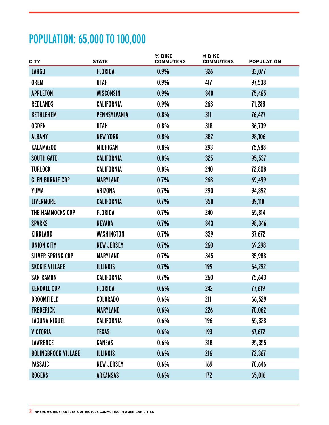| <b>CITY</b>                  | <b>STATE</b>      | % BIKE<br><b>COMMUTERS</b> | # BIKE<br><b>COMMUTERS</b> | <b>POPULATION</b> |
|------------------------------|-------------------|----------------------------|----------------------------|-------------------|
| LARGO                        | <b>FLORIDA</b>    | 0.9%                       | 326                        | 83,077            |
| <b>OREM</b>                  | <b>UTAH</b>       | 0.9%                       | 417                        | 97,508            |
| <b>APPLETON</b>              | <b>WISCONSIN</b>  | 0.9%                       | 340                        | 75,465            |
| <b>REDLANDS</b>              | CALIFORNIA        | 0.9%                       | 263                        | 71,288            |
| <b>BETHLEHEM</b>             | PENNSYLVANIA      | 0.8%                       | 311                        | 76,427            |
| <b>OGDEN</b>                 | <b>UTAH</b>       | 0.8%                       | 318                        | 86,709            |
| <b>ALBANY</b>                | <b>NEW YORK</b>   | 0.8%                       | 382                        | 98,106            |
| <b>KALAMAZOO</b>             | <b>MICHIGAN</b>   | 0.8%                       | 293                        | 75,988            |
| <b>SOUTH GATE</b>            | <b>CALIFORNIA</b> | 0.8%                       | 325                        | 95,537            |
| <b>TURLOCK</b>               | CALIFORNIA        | 0.8%                       | 240                        | 72,808            |
| <b>GLEN BURNIE CDP</b>       | <b>MARYLAND</b>   | 0.7%                       | 268                        | 69,499            |
| YUMA                         | ARIZONA           | 0.7%                       | 290                        | 94,892            |
| <b>LIVERMORE</b>             | <b>CALIFORNIA</b> | 0.7%                       | 350                        | 89,118            |
| THE HAMMOCKS CDP             | <b>FLORIDA</b>    | 0.7%                       | 240                        | 65,814            |
| <b>SPARKS</b>                | <b>NEVADA</b>     | 0.7%                       | 343                        | 98,346            |
| KIRKLAND                     | WASHINGTON        | 0.7%                       | 339                        | 87,672            |
| <b>UNION CITY</b>            | <b>NEW JERSEY</b> | 0.7%                       | 260                        | 69,298            |
| <b>SILVER SPRING CDP</b>     | <b>MARYLAND</b>   | 0.7%                       | 345                        | 85,988            |
| <b><i>SKOKIE VILLAGE</i></b> | <b>ILLINOIS</b>   | 0.7%                       | 199                        | 64,292            |
| <b>SAN RAMON</b>             | CALIFORNIA        | 0.7%                       | 260                        | 75,643            |
| <b>KENDALL CDP</b>           | <b>FLORIDA</b>    | 0.6%                       | 242                        | 77,619            |
| <b>BROOMFIELD</b>            | <b>COLORADO</b>   | 0.6%                       | 211                        | 66,529            |
| <b>FREDERICK</b>             | <b>MARYLAND</b>   | 0.6%                       | 226                        | 70,062            |
| <b>LAGUNA NIGUEL</b>         | <b>CALIFORNIA</b> | 0.6%                       | 196                        | 65,328            |
| <b>VICTORIA</b>              | <b>TEXAS</b>      | 0.6%                       | 193                        | 67,672            |
| <b>LAWRENCE</b>              | KANSAS            | 0.6%                       | 318                        | 95,355            |
| <b>BOLINGBROOK VILLAGE</b>   | <b>ILLINOIS</b>   | 0.6%                       | 216                        | 73,367            |
| <b>PASSAIC</b>               | <b>NEW JERSEY</b> | 0.6%                       | 169                        | 70,646            |
| <b>ROGERS</b>                | ARKANSAS          | 0.6%                       | 172                        | 65,016            |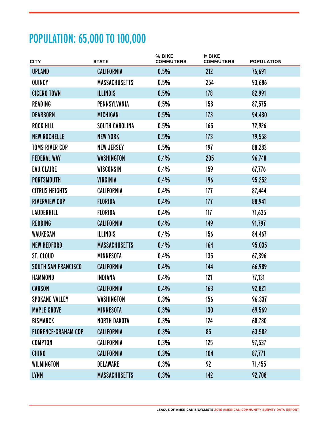| <b>CITY</b>                | <b>STATE</b>          | % BIKE<br><b>COMMUTERS</b> | # BIKE<br><b>COMMUTERS</b> | <b>POPULATION</b> |
|----------------------------|-----------------------|----------------------------|----------------------------|-------------------|
| <b>UPLAND</b>              | <b>CALIFORNIA</b>     | 0.5%                       | 212                        | 76,691            |
| QUINCY                     | <b>MASSACHUSETTS</b>  | 0.5%                       | 254                        | 93,686            |
| <b>CICERO TOWN</b>         | <b>ILLINOIS</b>       | 0.5%                       | 178                        | 82,991            |
| <b>READING</b>             | PENNSYLVANIA          | 0.5%                       | 158                        | 87,575            |
| <b>DEARBORN</b>            | <b>MICHIGAN</b>       | 0.5%                       | 173                        | 94,430            |
| <b>ROCK HILL</b>           | <b>SOUTH CAROLINA</b> | 0.5%                       | 165                        | 72,926            |
| <b>NEW ROCHELLE</b>        | <b>NEW YORK</b>       | 0.5%                       | 173                        | 79,558            |
| <b>TOMS RIVER CDP</b>      | <b>NEW JERSEY</b>     | 0.5%                       | 197                        | 88,283            |
| <b>FEDERAL WAY</b>         | WASHINGTON            | 0.4%                       | 205                        | 96,748            |
| <b>EAU CLAIRE</b>          | WISCONSIN             | 0.4%                       | 159                        | 67,776            |
| <b>PORTSMOUTH</b>          | <b>VIRGINIA</b>       | 0.4%                       | 196                        | 95,252            |
| <b>CITRUS HEIGHTS</b>      | CALIFORNIA            | 0.4%                       | 177                        | 87,444            |
| <b>RIVERVIEW CDP</b>       | <b>FLORIDA</b>        | 0.4%                       | 177                        | 88,941            |
| <b>LAUDERHILL</b>          | <b>FLORIDA</b>        | 0.4%                       | 117                        | 71,635            |
| <b>REDDING</b>             | <b>CALIFORNIA</b>     | 0.4%                       | 149                        | 91,797            |
| WAUKEGAN                   | <b>ILLINOIS</b>       | 0.4%                       | 156                        | 84,467            |
| <b>NEW BEDFORD</b>         | <b>MASSACHUSETTS</b>  | 0.4%                       | 164                        | 95,035            |
| ST. CLOUD                  | <b>MINNESOTA</b>      | 0.4%                       | 135                        | 67,396            |
| SOUTH SAN FRANCISCO        | <b>CALIFORNIA</b>     | 0.4%                       | 144                        | 66,989            |
| <b>HAMMOND</b>             | INDIANA               | 0.4%                       | 121                        | 77,131            |
| <b>CARSON</b>              | <b>CALIFORNIA</b>     | 0.4%                       | 163                        | 92,821            |
| <b>SPOKANE VALLEY</b>      | WASHINGTON            | 0.3%                       | 156                        | 96,337            |
| <b>MAPLE GROVE</b>         | <b>MINNESOTA</b>      | 0.3%                       | 130                        | 69,569            |
| <b>BISMARCK</b>            | <b>NORTH DAKOTA</b>   | 0.3%                       | 124                        | 68,780            |
| <b>FLORENCE-GRAHAM CDP</b> | CALIFORNIA            | 0.3%                       | 85                         | 63,582            |
| <b>COMPTON</b>             | CALIFORNIA            | 0.3%                       | 125                        | 97,537            |
| <b>CHINO</b>               | <b>CALIFORNIA</b>     | 0.3%                       | 104                        | 87,771            |
| WILMINGTON                 | DELAWARE              | 0.3%                       | 92                         | 71,455            |
| <b>LYNN</b>                | <b>MASSACHUSETTS</b>  | 0.3%                       | 142                        | 92,708            |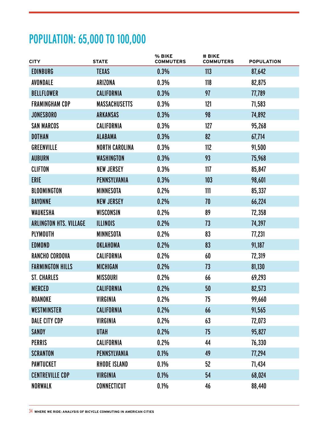| <b>CITY</b>                   | <b>STATE</b>          | % BIKE<br><b>COMMUTERS</b> | # BIKE<br><b>COMMUTERS</b> | <b>POPULATION</b> |
|-------------------------------|-----------------------|----------------------------|----------------------------|-------------------|
| <b>EDINBURG</b>               | <b>TEXAS</b>          | 0.3%                       | 113                        | 87,642            |
| <b>AVONDALE</b>               | ARIZONA               | 0.3%                       | 118                        | 82,875            |
| <b>BELLFLOWER</b>             | <b>CALIFORNIA</b>     | 0.3%                       | 97                         | 77,789            |
| <b>FRAMINGHAM CDP</b>         | <b>MASSACHUSETTS</b>  | 0.3%                       | 121                        | 71,583            |
| <b>JONESBORO</b>              | <b>ARKANSAS</b>       | 0.3%                       | 98                         | 74,892            |
| <b>SAN MARCOS</b>             | <b>CALIFORNIA</b>     | 0.3%                       | 127                        | 95,268            |
| <b>DOTHAN</b>                 | <b>ALABAMA</b>        | 0.3%                       | 82                         | 67,714            |
| <b>GREENVILLE</b>             | <b>NORTH CAROLINA</b> | 0.3%                       | 112                        | 91,500            |
| <b>AUBURN</b>                 | WASHINGTON            | 0.3%                       | 93                         | 75,968            |
| <b>CLIFTON</b>                | <b>NEW JERSEY</b>     | 0.3%                       | 117                        | 85,847            |
| <b>ERIE</b>                   | PENNSYLVANIA          | 0.3%                       | 103                        | 98,601            |
| <b>BLOOMINGTON</b>            | <b>MINNESOTA</b>      | 0.2%                       | 111                        | 85,337            |
| <b>BAYONNE</b>                | <b>NEW JERSEY</b>     | 0.2%                       | 70                         | 66,224            |
| WAUKESHA                      | WISCONSIN             | 0.2%                       | 89                         | 72,358            |
| <b>ARLINGTON HTS. VILLAGE</b> | <b>ILLINOIS</b>       | 0.2%                       | 73                         | 74,397            |
| <b>PLYMOUTH</b>               | <b>MINNESOTA</b>      | 0.2%                       | 83                         | 77,231            |
| <b>EDMOND</b>                 | <b>OKLAHOMA</b>       | 0.2%                       | 83                         | 91,187            |
| <b>RANCHO CORDOVA</b>         | <b>CALIFORNIA</b>     | 0.2%                       | 60                         | 72,319            |
| <b>FARMINGTON HILLS</b>       | <b>MICHIGAN</b>       | 0.2%                       | 73                         | 81,130            |
| <b><i>ST. CHARLES</i></b>     | <b>MISSOURI</b>       | 0.2%                       | 66                         | 69,293            |
| <b>MERCED</b>                 | <b>CALIFORNIA</b>     | 0.2%                       | 50                         | 82,573            |
| <b>ROANOKE</b>                | <b>VIRGINIA</b>       | 0.2%                       | 75                         | 99,660            |
| <b>WESTMINSTER</b>            | <b>CALIFORNIA</b>     | 0.2%                       | 66                         | 91,565            |
| DALE CITY CDP                 | <b>VIRGINIA</b>       | 0.2%                       | 63                         | 72,073            |
| <b>SANDY</b>                  | <b>UTAH</b>           | 0.2%                       | 75                         | 95,827            |
| <b>PERRIS</b>                 | CALIFORNIA            | 0.2%                       | 44                         | 76,330            |
| <b>SCRANTON</b>               | PENNSYLVANIA          | 0.1%                       | 49                         | 77,294            |
| <b>PAWTUCKET</b>              | <b>RHODE ISLAND</b>   | 0.1%                       | 52                         | 71,434            |
| <b>CENTREVILLE CDP</b>        | <b>VIRGINIA</b>       | 0.1%                       | 54                         | 68,024            |
| NORWALK                       | <b>CONNECTICUT</b>    | 0.1%                       | 46                         | 88,440            |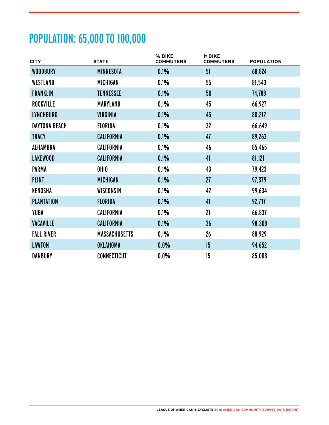| <b>CITY</b>          | <b>STATE</b>         | % BIKE<br><b>COMMUTERS</b> | # BIKE<br><b>COMMUTERS</b> | <b>POPULATION</b> |
|----------------------|----------------------|----------------------------|----------------------------|-------------------|
| <b>WOODBURY</b>      | <b>MINNESOTA</b>     | 0.1%                       | 51                         | 68,824            |
| WESTLAND             | <b>MICHIGAN</b>      | 0.1%                       | 55                         | 81,543            |
| <b>FRANKLIN</b>      | <b>TENNESSEE</b>     | 0.1%                       | 50                         | 74,788            |
| <b>ROCKVILLE</b>     | <b>MARYLAND</b>      | 0.1%                       | 45                         | 66,927            |
| <b>LYNCHBURG</b>     | <b>VIRGINIA</b>      | 0.1%                       | 45                         | 80,212            |
| <b>DAYTONA BEACH</b> | <b>FLORIDA</b>       | 0.1%                       | 32 <sub>2</sub>            | 66,649            |
| <b>TRACY</b>         | <b>CALIFORNIA</b>    | 0.1%                       | 47                         | 89,263            |
| <b>ALHAMBRA</b>      | CALIFORNIA           | 0.1%                       | 46                         | 85,465            |
| <b>LAKEWOOD</b>      | <b>CALIFORNIA</b>    | 0.1%                       | 41                         | 81,121            |
| <b>PARMA</b>         | OHIO                 | 0.1%                       | 43                         | 79,423            |
| <b>FLINT</b>         | <b>MICHIGAN</b>      | 0.1%                       | 27                         | 97,379            |
| KENOSHA              | WISCONSIN            | 0.1%                       | 42                         | 99,634            |
| <b>PLANTATION</b>    | <b>FLORIDA</b>       | 0.1%                       | 41                         | 92,717            |
| YUBA                 | CALIFORNIA           | 0.1%                       | 21                         | 66,837            |
| VACAVILLE            | <b>CALIFORNIA</b>    | 0.1%                       | 36                         | 98,308            |
| <b>FALL RIVER</b>    | <b>MASSACHUSETTS</b> | 0.1%                       | 26                         | 88,929            |
| <b>LAWTON</b>        | OKLAHOMA             | 0.0%                       | 15                         | 94,652            |
| <b>DANBURY</b>       | <b>CONNECTICUT</b>   | 0.0%                       | 15                         | 85,008            |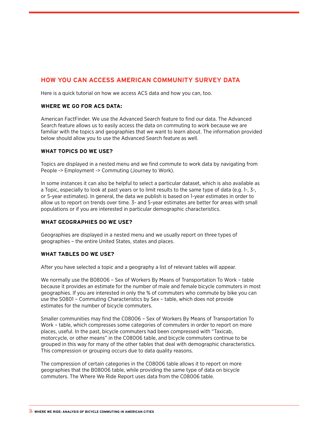#### **HOW YOU CAN ACCESS AMERICAN COMMUNITY SURVEY DATA**

Here is a quick tutorial on how we access ACS data and how you can, too.

#### **WHERE WE GO FOR ACS DATA:**

American FactFinder. We use the Advanced Search feature to find our data. The Advanced Search feature allows us to easily access the data on commuting to work because we are familiar with the topics and geographies that we want to learn about. The information provided below should allow you to use the Advanced Search feature as well.

#### **WHAT TOPICS DO WE USE?**

Topics are displayed in a nested menu and we find commute to work data by navigating from People -> Employment -> Commuting (Journey to Work).

In some instances it can also be helpful to select a particular dataset, which is also available as a Topic, especially to look at past years or to limit results to the same type of data (e.g. 1-, 3-, or 5-year estimates). In general, the data we publish is based on 1-year estimates in order to allow us to report on trends over time. 3- and 5-year estimates are better for areas with small populations or if you are interested in particular demographic characteristics.

#### **WHAT GEOGRAPHIES DO WE USE?**

Geographies are displayed in a nested menu and we usually report on three types of geographies – the entire United States, states and places.

#### **WHAT TABLES DO WE USE?**

After you have selected a topic and a geography a list of relevant tables will appear.

We normally use the B08006 – Sex of Workers By Means of Transportation To Work – table because it provides an estimate for the number of male and female bicycle commuters in most geographies. If you are interested in only the % of commuters who commute by bike you can use the S0801 – Commuting Characteristics by Sex – table, which does not provide estimates for the number of bicycle commuters.

Smaller communities may find the C08006 – Sex of Workers By Means of Transportation To Work – table, which compresses some categories of commuters in order to report on more places, useful. In the past, bicycle commuters had been compressed with "Taxicab, motorcycle, or other means" in the C08006 table, and bicycle commuters continue to be grouped in this way for many of the other tables that deal with demographic characteristics. This compression or grouping occurs due to data quality reasons.

The compression of certain categories in the C08006 table allows it to report on more geographies that the B08006 table, while providing the same type of data on bicycle commuters. The Where We Ride Report uses data from the C08006 table.